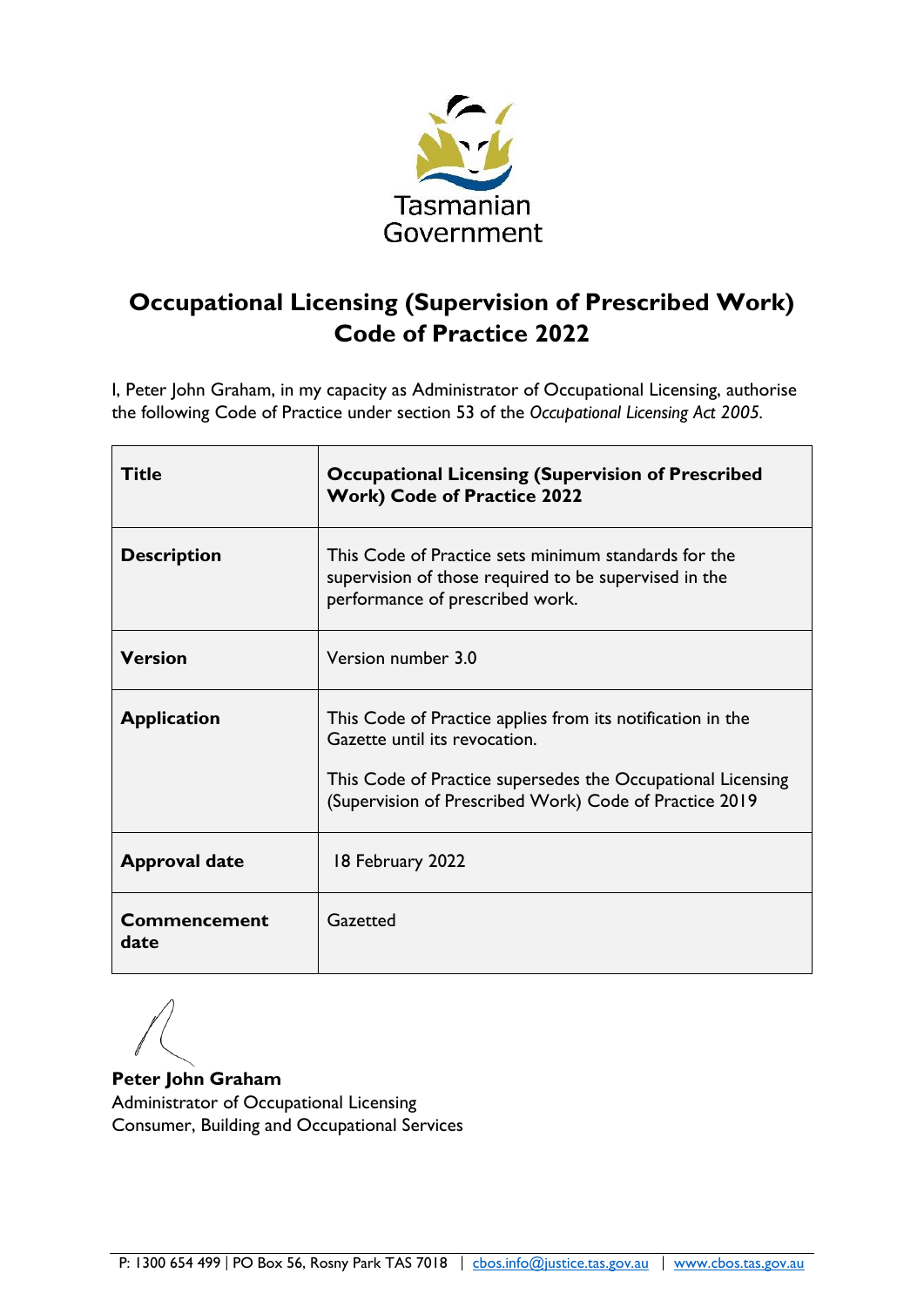

# <span id="page-0-0"></span>**Occupational Licensing (Supervision of Prescribed Work) Code of Practice 2022**

I, Peter John Graham, in my capacity as Administrator of Occupational Licensing, authorise the following Code of Practice under section 53 of the *Occupational Licensing Act 2005.* 

| <b>Title</b>                | <b>Occupational Licensing (Supervision of Prescribed</b><br><b>Work) Code of Practice 2022</b>                                                                                                                       |
|-----------------------------|----------------------------------------------------------------------------------------------------------------------------------------------------------------------------------------------------------------------|
| <b>Description</b>          | This Code of Practice sets minimum standards for the<br>supervision of those required to be supervised in the<br>performance of prescribed work.                                                                     |
| <b>Version</b>              | Version number 3.0                                                                                                                                                                                                   |
| <b>Application</b>          | This Code of Practice applies from its notification in the<br>Gazette until its revocation.<br>This Code of Practice supersedes the Occupational Licensing<br>(Supervision of Prescribed Work) Code of Practice 2019 |
| <b>Approval date</b>        | 18 February 2022                                                                                                                                                                                                     |
| <b>Commencement</b><br>date | Gazetted                                                                                                                                                                                                             |

**Peter John Graham** Administrator of Occupational Licensing Consumer, Building and Occupational Services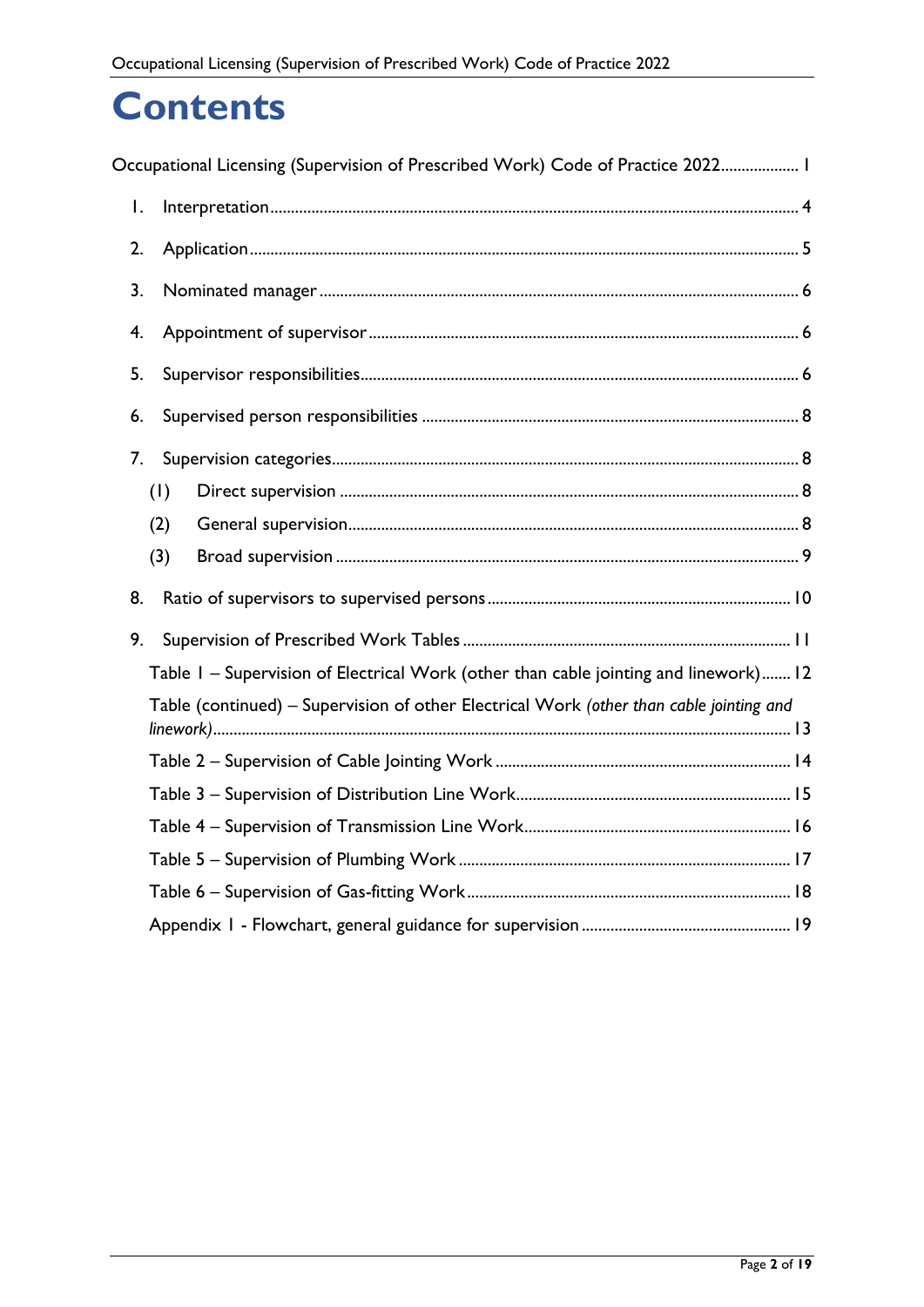# **Contents**

|    |     | Occupational Licensing (Supervision of Prescribed Work) Code of Practice 2022 1         |  |
|----|-----|-----------------------------------------------------------------------------------------|--|
| I. |     |                                                                                         |  |
| 2. |     |                                                                                         |  |
| 3. |     |                                                                                         |  |
| 4. |     |                                                                                         |  |
| 5. |     |                                                                                         |  |
| 6. |     |                                                                                         |  |
| 7. |     |                                                                                         |  |
|    | (1) |                                                                                         |  |
|    | (2) |                                                                                         |  |
|    | (3) |                                                                                         |  |
| 8. |     |                                                                                         |  |
| 9. |     |                                                                                         |  |
|    |     | Table I - Supervision of Electrical Work (other than cable jointing and linework) 12    |  |
|    |     | Table (continued) – Supervision of other Electrical Work (other than cable jointing and |  |
|    |     |                                                                                         |  |
|    |     |                                                                                         |  |
|    |     |                                                                                         |  |
|    |     |                                                                                         |  |
|    |     |                                                                                         |  |
|    |     |                                                                                         |  |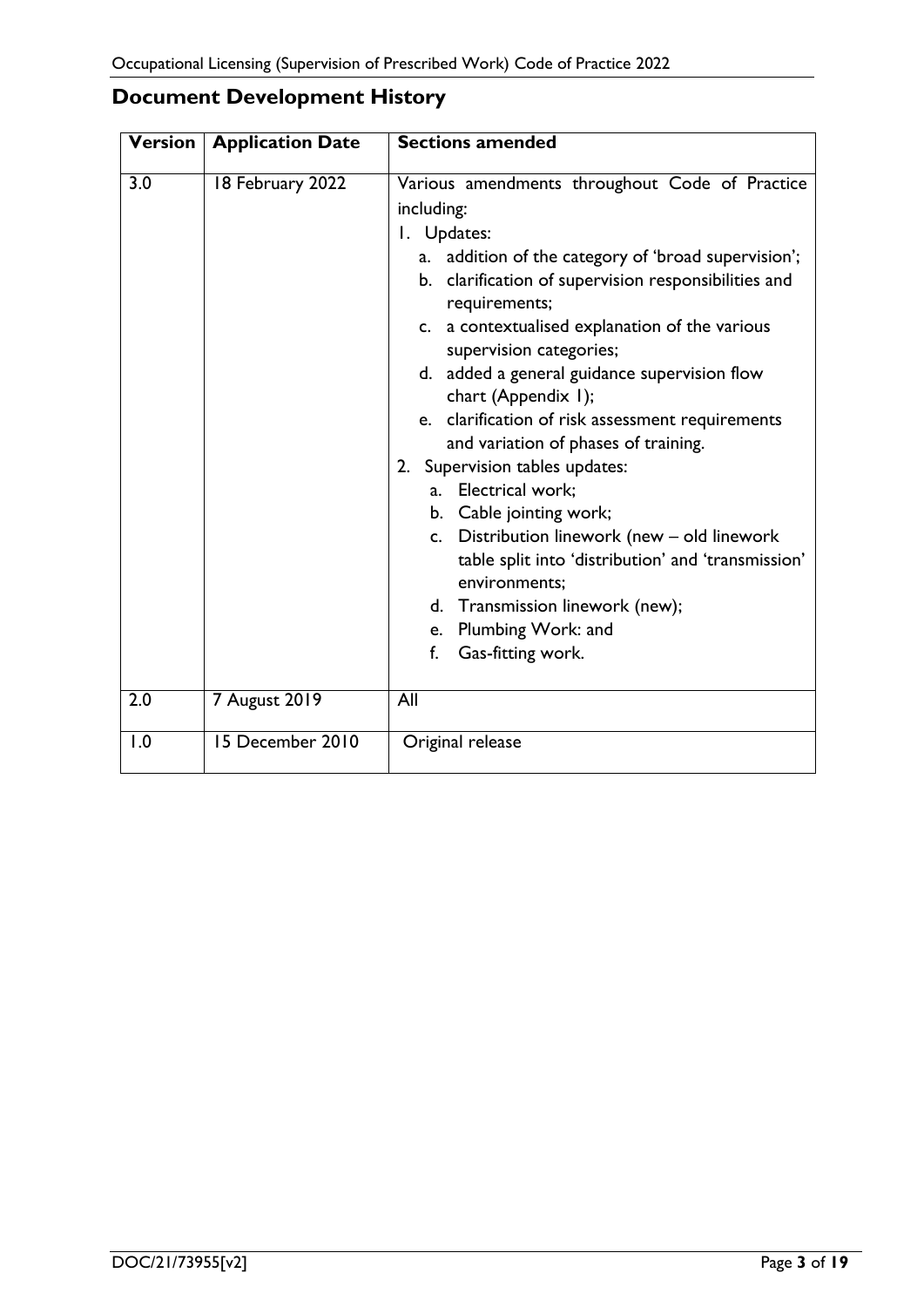|  | <b>Document Development History</b> |  |
|--|-------------------------------------|--|
|--|-------------------------------------|--|

| <b>Version</b> | <b>Application Date</b> | <b>Sections amended</b>                                                                                                                                                                                                                                                                                                                                                                                                                                                                                                                                                                                                                                                                                                                                       |
|----------------|-------------------------|---------------------------------------------------------------------------------------------------------------------------------------------------------------------------------------------------------------------------------------------------------------------------------------------------------------------------------------------------------------------------------------------------------------------------------------------------------------------------------------------------------------------------------------------------------------------------------------------------------------------------------------------------------------------------------------------------------------------------------------------------------------|
| 3.0            | 18 February 2022        | Various amendments throughout Code of Practice<br>including:<br>I. Updates:<br>a. addition of the category of 'broad supervision';<br>b. clarification of supervision responsibilities and<br>requirements;<br>c. a contextualised explanation of the various<br>supervision categories;<br>d. added a general guidance supervision flow<br>chart (Appendix 1);<br>e. clarification of risk assessment requirements<br>and variation of phases of training.<br>2. Supervision tables updates:<br>a. Electrical work;<br>b. Cable jointing work;<br>c. Distribution linework (new - old linework<br>table split into 'distribution' and 'transmission'<br>environments;<br>d. Transmission linework (new);<br>e. Plumbing Work: and<br>f.<br>Gas-fitting work. |
| 2.0            | <b>7 August 2019</b>    | All                                                                                                                                                                                                                                                                                                                                                                                                                                                                                                                                                                                                                                                                                                                                                           |
| 1.0            | 15 December 2010        | Original release                                                                                                                                                                                                                                                                                                                                                                                                                                                                                                                                                                                                                                                                                                                                              |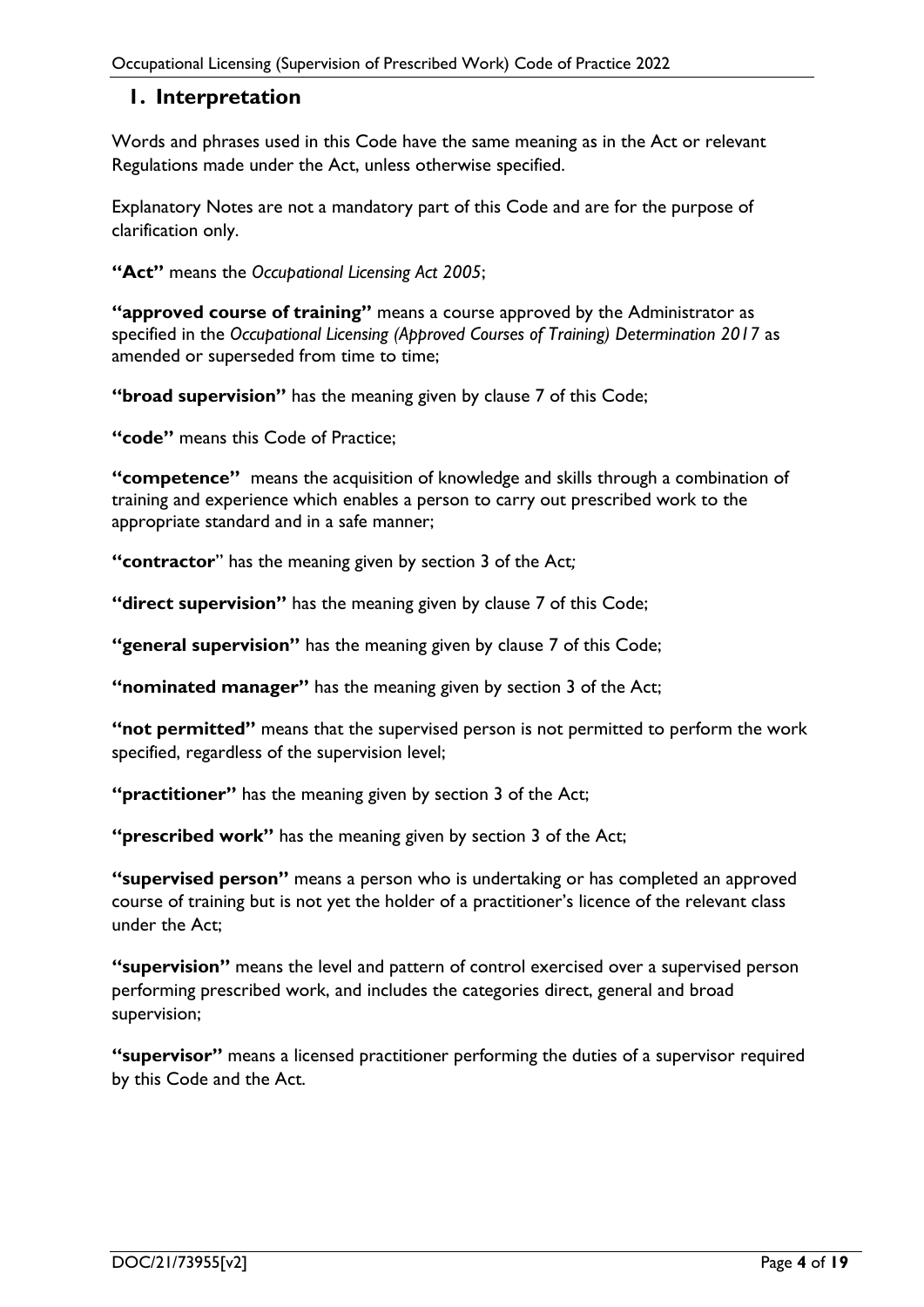## <span id="page-3-0"></span>**1. Interpretation**

Words and phrases used in this Code have the same meaning as in the Act or relevant Regulations made under the Act, unless otherwise specified.

Explanatory Notes are not a mandatory part of this Code and are for the purpose of clarification only.

**"Act"** means the *Occupational Licensing Act 2005*;

**"approved course of training"** means a course approved by the Administrator as specified in the *Occupational Licensing (Approved Courses of Training) Determination 2017* as amended or superseded from time to time;

**"broad supervision"** has the meaning given by clause 7 of this Code;

**"code"** means this Code of Practice;

**"competence"** means the acquisition of knowledge and skills through a combination of training and experience which enables a person to carry out prescribed work to the appropriate standard and in a safe manner;

**"contractor**" has the meaning given by section 3 of the Act*;*

**"direct supervision"** has the meaning given by clause 7 of this Code;

**"general supervision"** has the meaning given by clause 7 of this Code;

**"nominated manager"** has the meaning given by section 3 of the Act;

**"not permitted"** means that the supervised person is not permitted to perform the work specified, regardless of the supervision level;

**"practitioner"** has the meaning given by section 3 of the Act;

**"prescribed work"** has the meaning given by section 3 of the Act;

**"supervised person"** means a person who is undertaking or has completed an approved course of training but is not yet the holder of a practitioner's licence of the relevant class under the Act;

**"supervision"** means the level and pattern of control exercised over a supervised person performing prescribed work, and includes the categories direct, general and broad supervision;

**"supervisor"** means a licensed practitioner performing the duties of a supervisor required by this Code and the Act.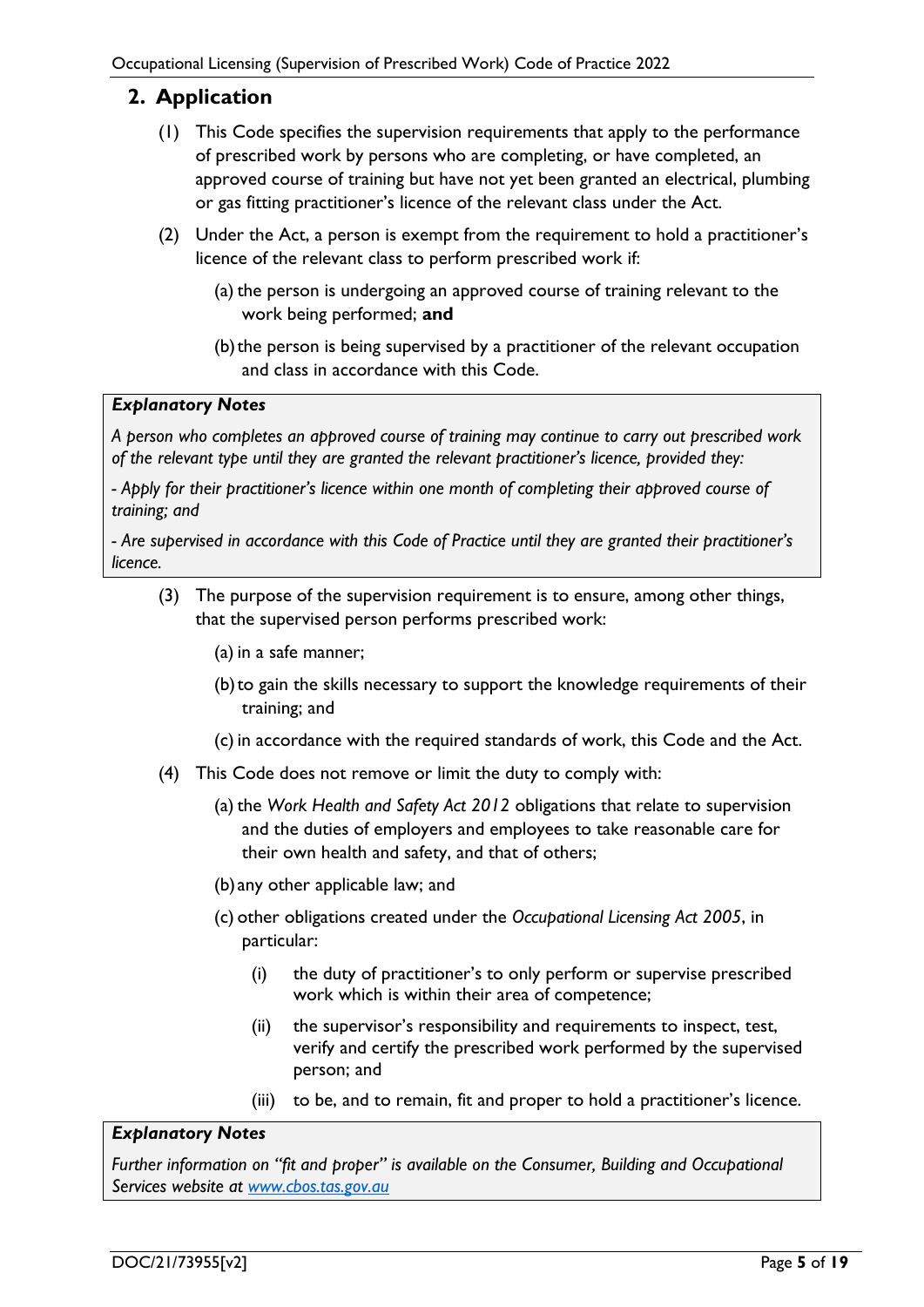# <span id="page-4-0"></span>**2. Application**

- (1) This Code specifies the supervision requirements that apply to the performance of prescribed work by persons who are completing, or have completed, an approved course of training but have not yet been granted an electrical, plumbing or gas fitting practitioner's licence of the relevant class under the Act.
- (2) Under the Act, a person is exempt from the requirement to hold a practitioner's licence of the relevant class to perform prescribed work if:
	- (a) the person is undergoing an approved course of training relevant to the work being performed; **and**
	- (b)the person is being supervised by a practitioner of the relevant occupation and class in accordance with this Code.

#### *Explanatory Notes*

*A person who completes an approved course of training may continue to carry out prescribed work of the relevant type until they are granted the relevant practitioner's licence, provided they:*

*- Apply for their practitioner's licence within one month of completing their approved course of training; and*

*- Are supervised in accordance with this Code of Practice until they are granted their practitioner's licence.* 

(3) The purpose of the supervision requirement is to ensure, among other things, that the supervised person performs prescribed work:

(a) in a safe manner;

- (b)to gain the skills necessary to support the knowledge requirements of their training; and
- (c) in accordance with the required standards of work, this Code and the Act.
- (4) This Code does not remove or limit the duty to comply with:
	- (a) the *Work Health and Safety Act 2012* obligations that relate to supervision and the duties of employers and employees to take reasonable care for their own health and safety, and that of others;
	- (b)any other applicable law; and
	- (c) other obligations created under the *Occupational Licensing Act 2005*, in particular:
		- (i) the duty of practitioner's to only perform or supervise prescribed work which is within their area of competence;
		- (ii) the supervisor's responsibility and requirements to inspect, test, verify and certify the prescribed work performed by the supervised person; and
		- (iii) to be, and to remain, fit and proper to hold a practitioner's licence.

#### *Explanatory Notes*

*Further information on "fit and proper" is available on the Consumer, Building and Occupational Services website at [www.cbos.tas.gov.au](http://www.cbos.tas.gov.au/)*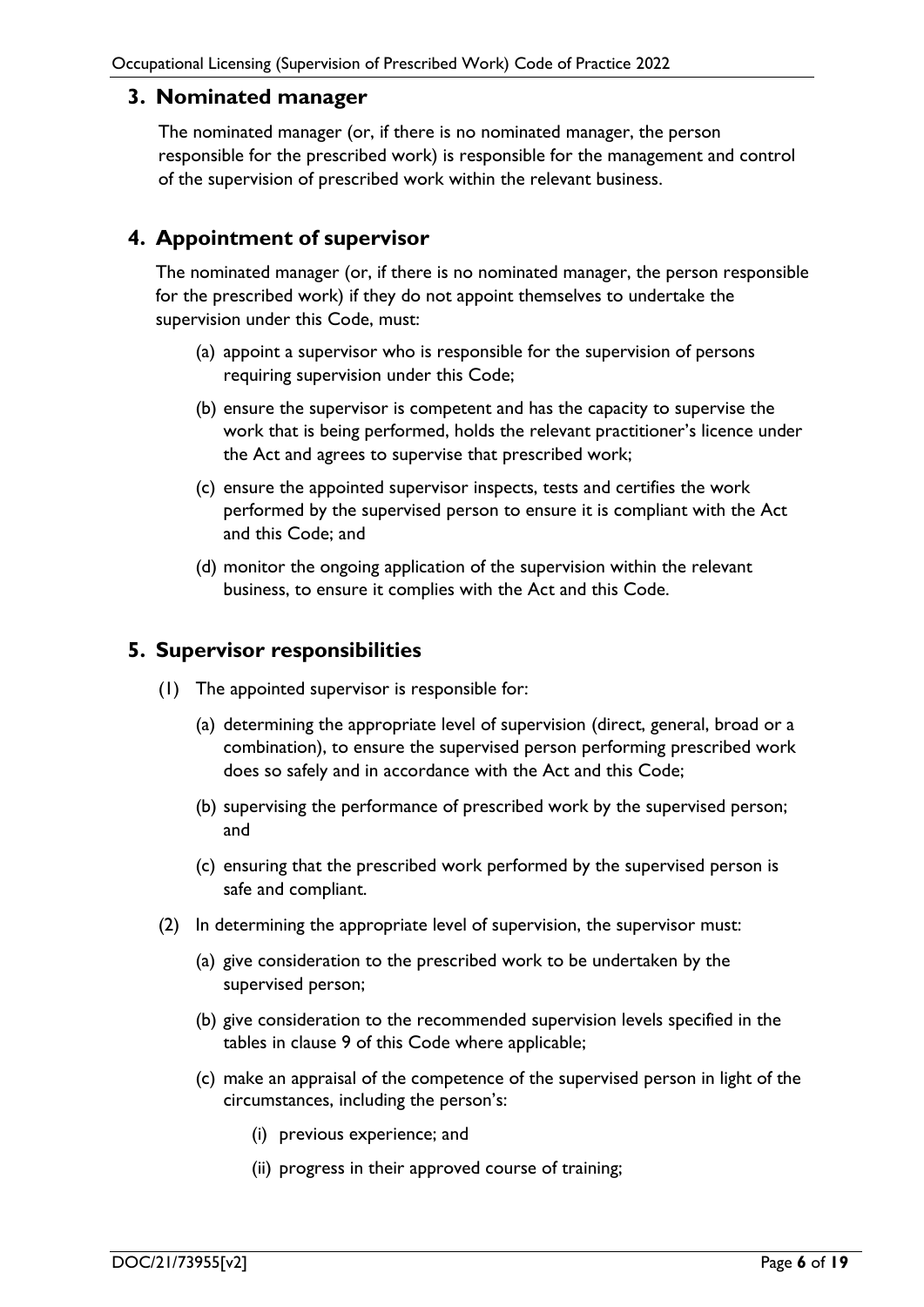## <span id="page-5-0"></span>**3. Nominated manager**

The nominated manager (or, if there is no nominated manager, the person responsible for the prescribed work) is responsible for the management and control of the supervision of prescribed work within the relevant business.

# <span id="page-5-1"></span>**4. Appointment of supervisor**

The nominated manager (or, if there is no nominated manager, the person responsible for the prescribed work) if they do not appoint themselves to undertake the supervision under this Code, must:

- (a) appoint a supervisor who is responsible for the supervision of persons requiring supervision under this Code;
- (b) ensure the supervisor is competent and has the capacity to supervise the work that is being performed, holds the relevant practitioner's licence under the Act and agrees to supervise that prescribed work;
- (c) ensure the appointed supervisor inspects, tests and certifies the work performed by the supervised person to ensure it is compliant with the Act and this Code; and
- (d) monitor the ongoing application of the supervision within the relevant business, to ensure it complies with the Act and this Code.

# <span id="page-5-2"></span>**5. Supervisor responsibilities**

- (1) The appointed supervisor is responsible for:
	- (a) determining the appropriate level of supervision (direct, general, broad or a combination), to ensure the supervised person performing prescribed work does so safely and in accordance with the Act and this Code;
	- (b) supervising the performance of prescribed work by the supervised person; and
	- (c) ensuring that the prescribed work performed by the supervised person is safe and compliant.
- (2) In determining the appropriate level of supervision, the supervisor must:
	- (a) give consideration to the prescribed work to be undertaken by the supervised person;
	- (b) give consideration to the recommended supervision levels specified in the tables in clause 9 of this Code where applicable;
	- (c) make an appraisal of the competence of the supervised person in light of the circumstances, including the person's:
		- (i) previous experience; and
		- (ii) progress in their approved course of training;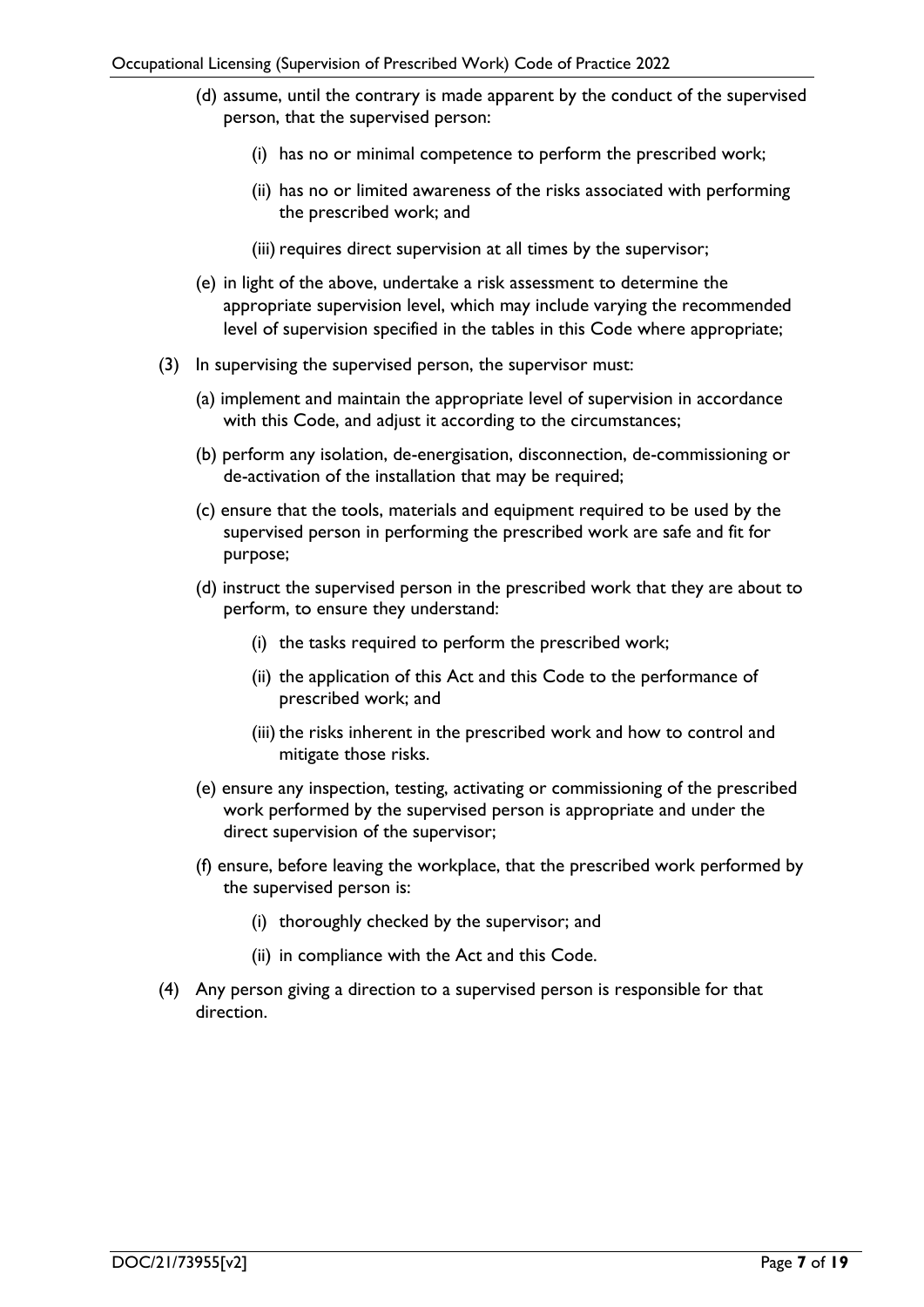- (d) assume, until the contrary is made apparent by the conduct of the supervised person, that the supervised person:
	- (i) has no or minimal competence to perform the prescribed work;
	- (ii) has no or limited awareness of the risks associated with performing the prescribed work; and
	- (iii) requires direct supervision at all times by the supervisor;
- (e) in light of the above, undertake a risk assessment to determine the appropriate supervision level, which may include varying the recommended level of supervision specified in the tables in this Code where appropriate;
- (3) In supervising the supervised person, the supervisor must:
	- (a) implement and maintain the appropriate level of supervision in accordance with this Code, and adjust it according to the circumstances;
	- (b) perform any isolation, de-energisation, disconnection, de-commissioning or de-activation of the installation that may be required;
	- (c) ensure that the tools, materials and equipment required to be used by the supervised person in performing the prescribed work are safe and fit for purpose;
	- (d) instruct the supervised person in the prescribed work that they are about to perform, to ensure they understand:
		- (i) the tasks required to perform the prescribed work;
		- (ii) the application of this Act and this Code to the performance of prescribed work; and
		- (iii) the risks inherent in the prescribed work and how to control and mitigate those risks.
	- (e) ensure any inspection, testing, activating or commissioning of the prescribed work performed by the supervised person is appropriate and under the direct supervision of the supervisor;
	- (f) ensure, before leaving the workplace, that the prescribed work performed by the supervised person is:
		- (i) thoroughly checked by the supervisor; and
		- (ii) in compliance with the Act and this Code.
- <span id="page-6-0"></span>(4) Any person giving a direction to a supervised person is responsible for that direction.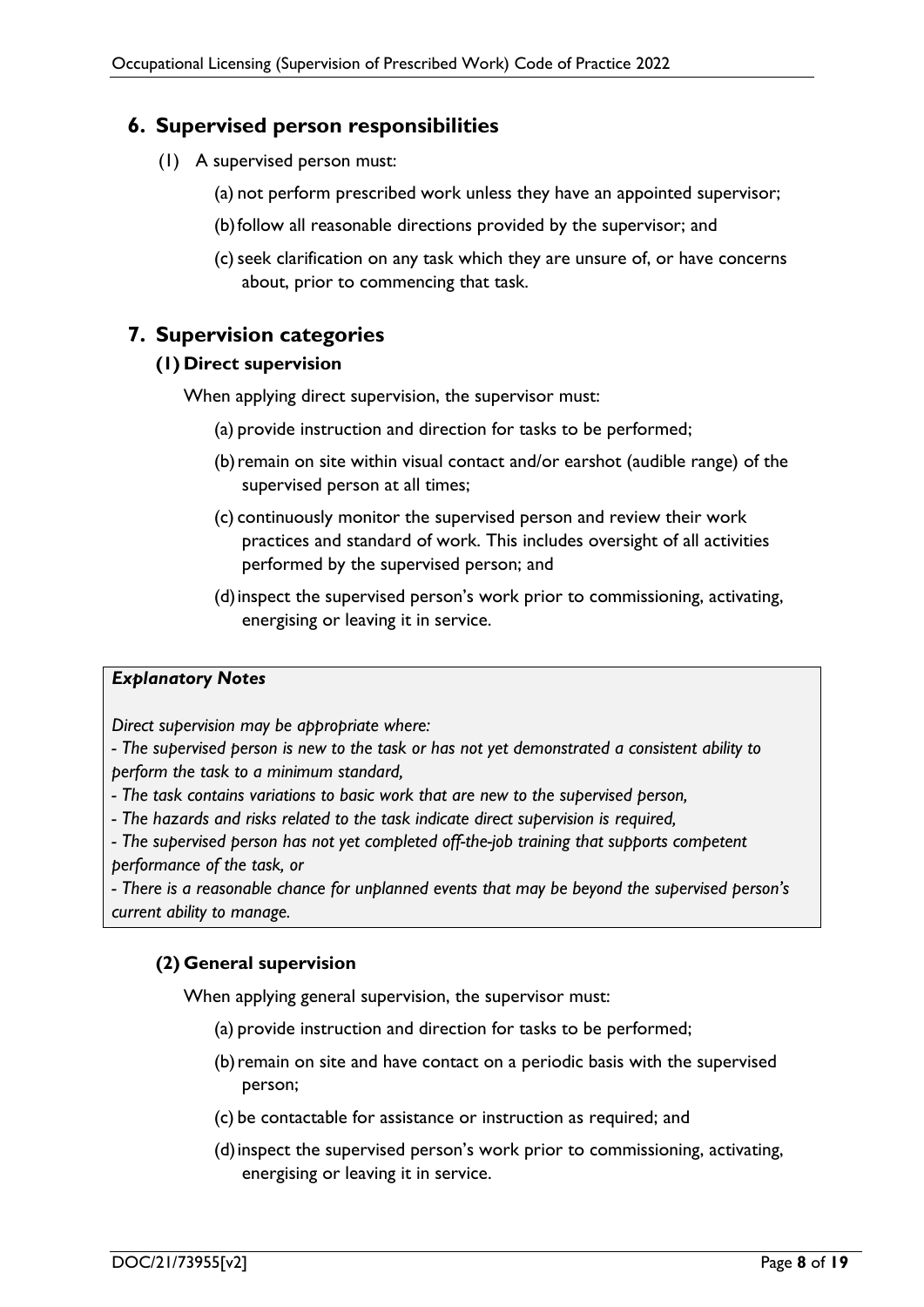# **6. Supervised person responsibilities**

- (1) A supervised person must:
	- (a) not perform prescribed work unless they have an appointed supervisor;
	- (b)follow all reasonable directions provided by the supervisor; and
	- (c)seek clarification on any task which they are unsure of, or have concerns about, prior to commencing that task.

# <span id="page-7-1"></span><span id="page-7-0"></span>**7. Supervision categories**

#### **(1) Direct supervision**

When applying direct supervision, the supervisor must:

- (a) provide instruction and direction for tasks to be performed;
- (b)remain on site within visual contact and/or earshot (audible range) of the supervised person at all times;
- (c) continuously monitor the supervised person and review their work practices and standard of work. This includes oversight of all activities performed by the supervised person; and
- (d)inspect the supervised person's work prior to commissioning, activating, energising or leaving it in service.

#### *Explanatory Notes*

*Direct supervision may be appropriate where:* 

*- The supervised person is new to the task or has not yet demonstrated a consistent ability to perform the task to a minimum standard,*

- *- The task contains variations to basic work that are new to the supervised person,*
- *- The hazards and risks related to the task indicate direct supervision is required,*

*- The supervised person has not yet completed off-the-job training that supports competent performance of the task, or* 

*- There is a reasonable chance for unplanned events that may be beyond the supervised person's current ability to manage.*

## <span id="page-7-2"></span>**(2) General supervision**

When applying general supervision, the supervisor must:

- (a) provide instruction and direction for tasks to be performed;
- (b)remain on site and have contact on a periodic basis with the supervised person;
- (c) be contactable for assistance or instruction as required; and
- (d)inspect the supervised person's work prior to commissioning, activating, energising or leaving it in service.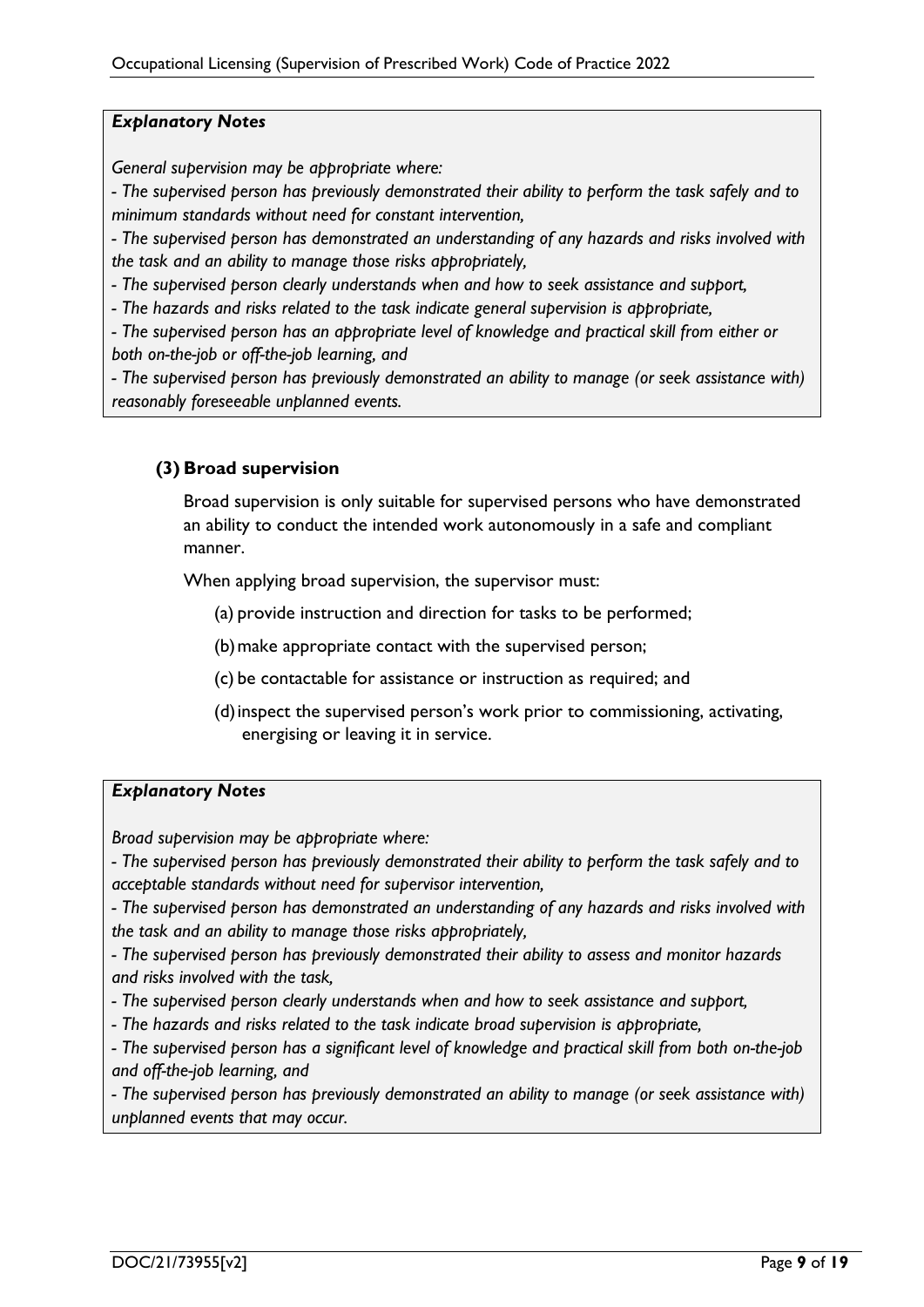#### *Explanatory Notes*

*General supervision may be appropriate where:* 

*- The supervised person has previously demonstrated their ability to perform the task safely and to minimum standards without need for constant intervention,* 

*- The supervised person has demonstrated an understanding of any hazards and risks involved with the task and an ability to manage those risks appropriately,* 

*- The supervised person clearly understands when and how to seek assistance and support,* 

*- The hazards and risks related to the task indicate general supervision is appropriate,* 

*- The supervised person has an appropriate level of knowledge and practical skill from either or both on-the-job or off-the-job learning, and* 

*- The supervised person has previously demonstrated an ability to manage (or seek assistance with) reasonably foreseeable unplanned events.*

## <span id="page-8-0"></span>**(3) Broad supervision**

Broad supervision is only suitable for supervised persons who have demonstrated an ability to conduct the intended work autonomously in a safe and compliant manner.

When applying broad supervision, the supervisor must:

(a) provide instruction and direction for tasks to be performed;

(b)make appropriate contact with the supervised person;

- (c) be contactable for assistance or instruction as required; and
- (d)inspect the supervised person's work prior to commissioning, activating, energising or leaving it in service.

#### *Explanatory Notes*

*Broad supervision may be appropriate where:* 

*- The supervised person has previously demonstrated their ability to perform the task safely and to acceptable standards without need for supervisor intervention,* 

*- The supervised person has demonstrated an understanding of any hazards and risks involved with the task and an ability to manage those risks appropriately,* 

*- The supervised person has previously demonstrated their ability to assess and monitor hazards and risks involved with the task,* 

*- The supervised person clearly understands when and how to seek assistance and support,* 

*- The hazards and risks related to the task indicate broad supervision is appropriate,* 

*- The supervised person has a significant level of knowledge and practical skill from both on-the-job and off-the-job learning, and* 

*- The supervised person has previously demonstrated an ability to manage (or seek assistance with) unplanned events that may occur.*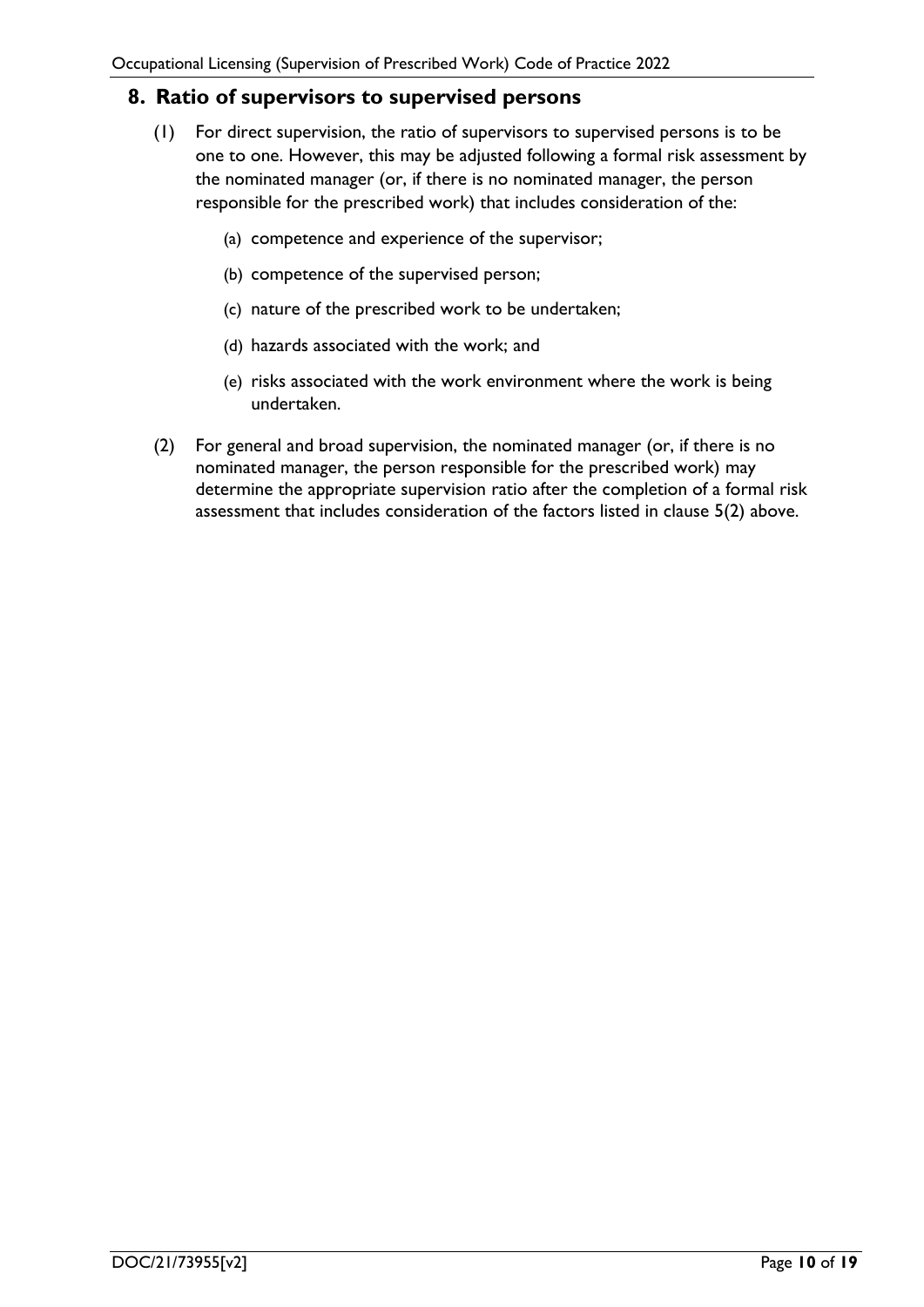# <span id="page-9-0"></span>**8. Ratio of supervisors to supervised persons**

- (1) For direct supervision, the ratio of supervisors to supervised persons is to be one to one. However, this may be adjusted following a formal risk assessment by the nominated manager (or, if there is no nominated manager, the person responsible for the prescribed work) that includes consideration of the:
	- (a) competence and experience of the supervisor;
	- (b) competence of the supervised person;
	- (c) nature of the prescribed work to be undertaken;
	- (d) hazards associated with the work; and
	- (e) risks associated with the work environment where the work is being undertaken.
- (2) For general and broad supervision, the nominated manager (or, if there is no nominated manager, the person responsible for the prescribed work) may determine the appropriate supervision ratio after the completion of a formal risk assessment that includes consideration of the factors listed in clause 5(2) above.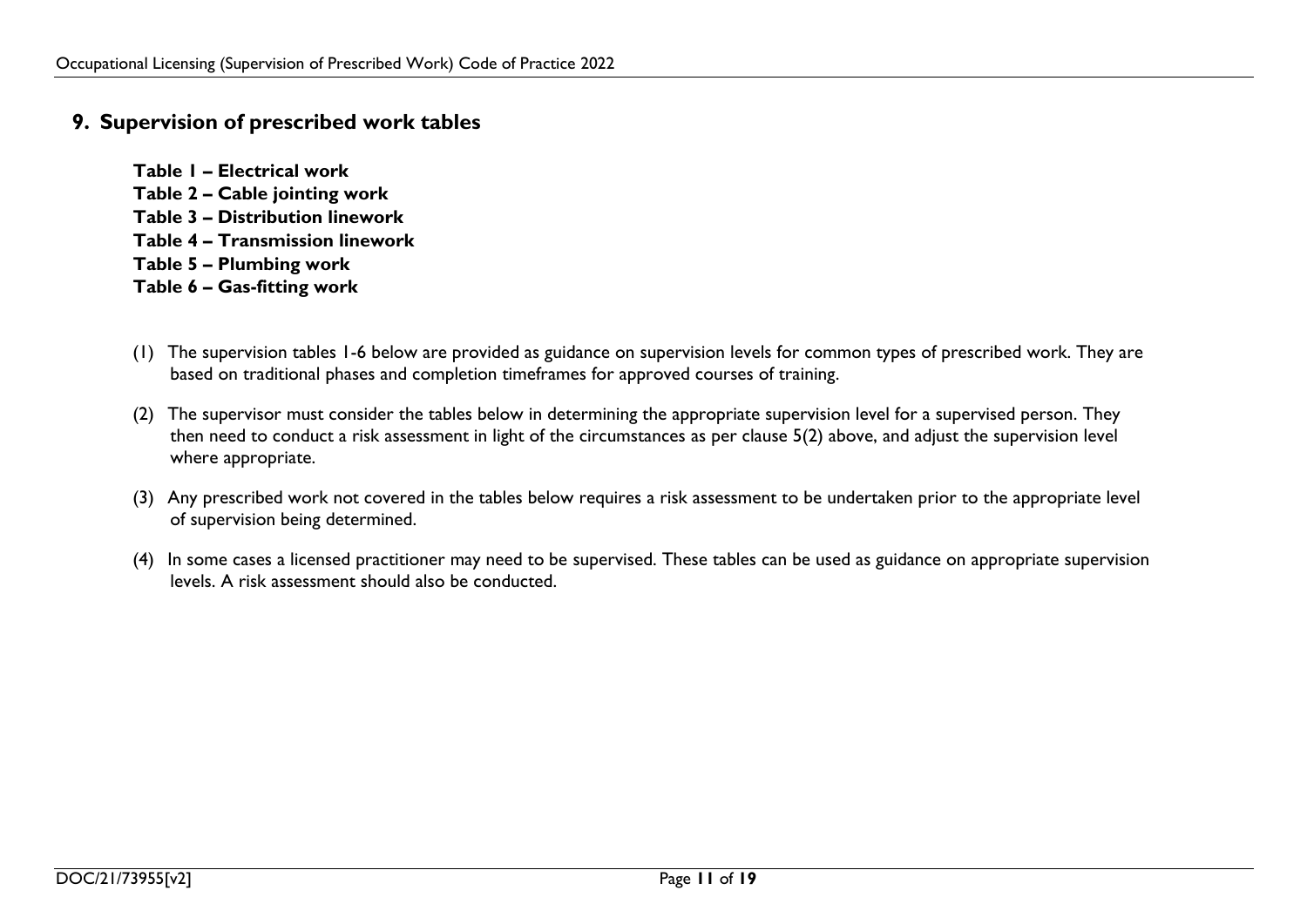# **9. Supervision of prescribed work tables**

- **Table 1 – Electrical work Table 2 – Cable jointing work Table 3 – Distribution linework Table 4 – Transmission linework Table 5 – Plumbing work Table 6 – Gas-fitting work**
- (1) The supervision tables 1-6 below are provided as guidance on supervision levels for common types of prescribed work. They are based on traditional phases and completion timeframes for approved courses of training.
- (2) The supervisor must consider the tables below in determining the appropriate supervision level for a supervised person. They then need to conduct a risk assessment in light of the circumstances as per clause 5(2) above, and adjust the supervision level where appropriate.
- <span id="page-10-0"></span>(3) Any prescribed work not covered in the tables below requires a risk assessment to be undertaken prior to the appropriate level of supervision being determined.
- (4) In some cases a licensed practitioner may need to be supervised. These tables can be used as guidance on appropriate supervision levels. A risk assessment should also be conducted.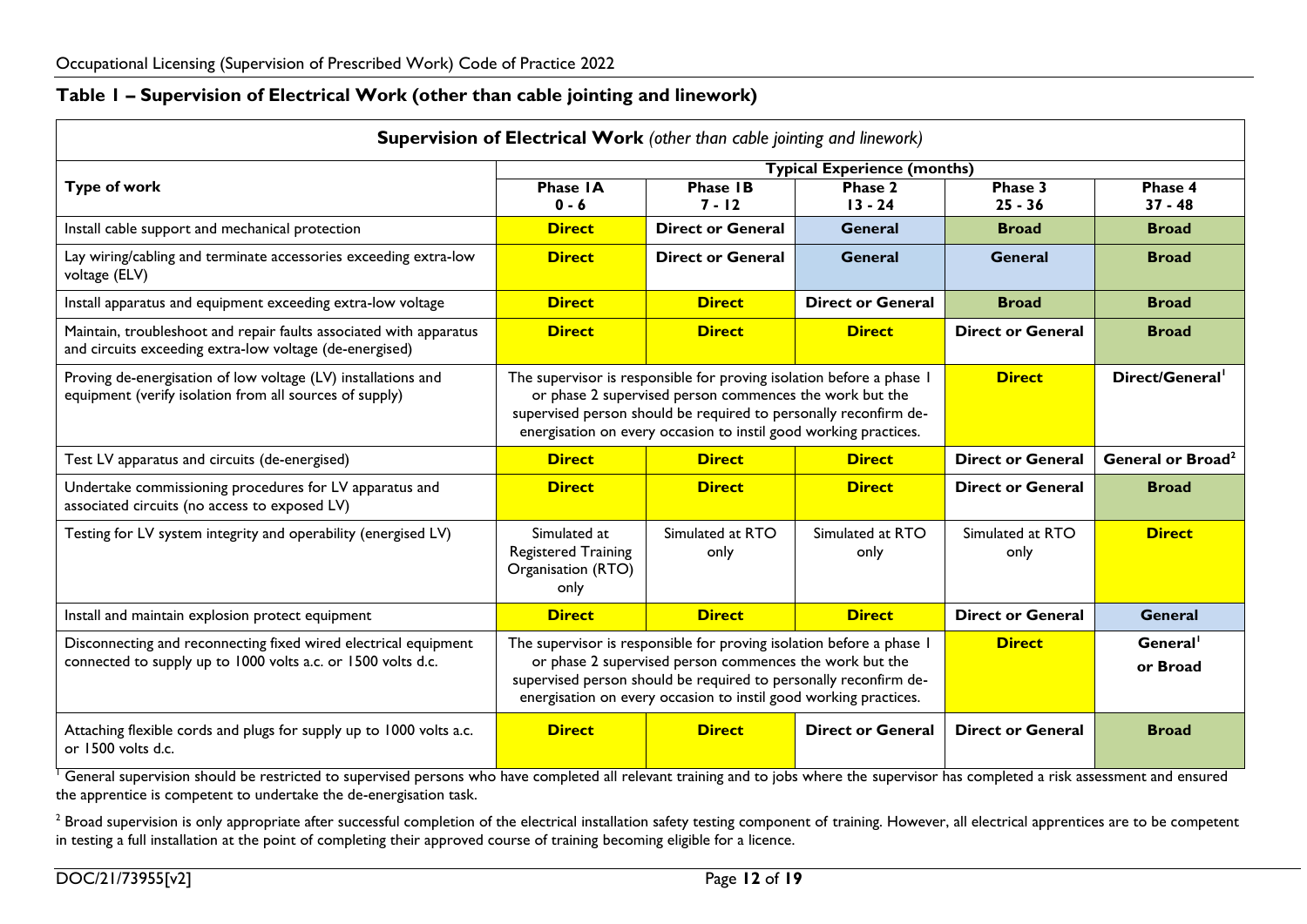## **Table 1 – Supervision of Electrical Work (other than cable jointing and linework)**

| <b>Supervision of Electrical Work</b> (other than cable jointing and linework)                                                  |                                                                          |                                                                                                                                                                                                                                                                         |                                    |                                  |                               |
|---------------------------------------------------------------------------------------------------------------------------------|--------------------------------------------------------------------------|-------------------------------------------------------------------------------------------------------------------------------------------------------------------------------------------------------------------------------------------------------------------------|------------------------------------|----------------------------------|-------------------------------|
|                                                                                                                                 |                                                                          |                                                                                                                                                                                                                                                                         | <b>Typical Experience (months)</b> |                                  |                               |
| <b>Type of work</b>                                                                                                             | <b>Phase IA</b><br>$0 - 6$                                               | <b>Phase IB</b><br>$7 - 12$                                                                                                                                                                                                                                             | Phase 2<br>$13 - 24$               | Phase 3<br>$25 - 36$             | Phase 4<br>$37 - 48$          |
| Install cable support and mechanical protection                                                                                 | <b>Direct</b>                                                            | <b>Direct or General</b>                                                                                                                                                                                                                                                | <b>General</b>                     | <b>Broad</b>                     | <b>Broad</b>                  |
| Lay wiring/cabling and terminate accessories exceeding extra-low<br>voltage (ELV)                                               | <b>Direct</b>                                                            | <b>Direct or General</b>                                                                                                                                                                                                                                                | General                            | <b>General</b>                   | <b>Broad</b>                  |
| Install apparatus and equipment exceeding extra-low voltage                                                                     | <b>Direct</b>                                                            | <b>Direct</b>                                                                                                                                                                                                                                                           | <b>Direct or General</b>           | <b>Broad</b>                     | <b>Broad</b>                  |
| Maintain, troubleshoot and repair faults associated with apparatus<br>and circuits exceeding extra-low voltage (de-energised)   | <b>Direct</b>                                                            | <b>Direct</b>                                                                                                                                                                                                                                                           | <b>Direct</b>                      | <b>Direct or General</b>         | <b>Broad</b>                  |
| Proving de-energisation of low voltage (LV) installations and<br>equipment (verify isolation from all sources of supply)        |                                                                          | The supervisor is responsible for proving isolation before a phase I<br>or phase 2 supervised person commences the work but the<br>supervised person should be required to personally reconfirm de-<br>energisation on every occasion to instil good working practices. | <b>Direct</b>                      | Direct/General <sup>1</sup>      |                               |
| Test LV apparatus and circuits (de-energised)                                                                                   | <b>Direct</b>                                                            | <b>Direct</b>                                                                                                                                                                                                                                                           | <b>Direct</b>                      | <b>Direct or General</b>         | General or Broad <sup>2</sup> |
| Undertake commissioning procedures for LV apparatus and<br>associated circuits (no access to exposed LV)                        | <b>Direct</b>                                                            | <b>Direct</b>                                                                                                                                                                                                                                                           | <b>Direct</b>                      | <b>Direct or General</b>         | <b>Broad</b>                  |
| Testing for LV system integrity and operability (energised LV)                                                                  | Simulated at<br><b>Registered Training</b><br>Organisation (RTO)<br>only | Simulated at RTO<br>only                                                                                                                                                                                                                                                | Simulated at RTO<br>only           | Simulated at RTO<br>only         | <b>Direct</b>                 |
| Install and maintain explosion protect equipment                                                                                | <b>Direct</b>                                                            | <b>Direct</b>                                                                                                                                                                                                                                                           | <b>Direct</b>                      | <b>Direct or General</b>         | <b>General</b>                |
| Disconnecting and reconnecting fixed wired electrical equipment<br>connected to supply up to 1000 volts a.c. or 1500 volts d.c. |                                                                          | The supervisor is responsible for proving isolation before a phase I<br>or phase 2 supervised person commences the work but the<br>supervised person should be required to personally reconfirm de-<br>energisation on every occasion to instil good working practices. | <b>Direct</b>                      | General <sup>1</sup><br>or Broad |                               |
| Attaching flexible cords and plugs for supply up to 1000 volts a.c.<br>or 1500 volts d.c.                                       | <b>Direct</b>                                                            | <b>Direct</b>                                                                                                                                                                                                                                                           | <b>Direct or General</b>           | <b>Direct or General</b>         | <b>Broad</b>                  |

<span id="page-11-0"></span><sup>1</sup> General supervision should be restricted to supervised persons who have completed all relevant training and to jobs where the supervisor has completed a risk assessment and ensured the apprentice is competent to undertake the de-energisation task.

<sup>2</sup> Broad supervision is only appropriate after successful completion of the electrical installation safety testing component of training. However, all electrical apprentices are to be competent in testing a full installation at the point of completing their approved course of training becoming eligible for a licence.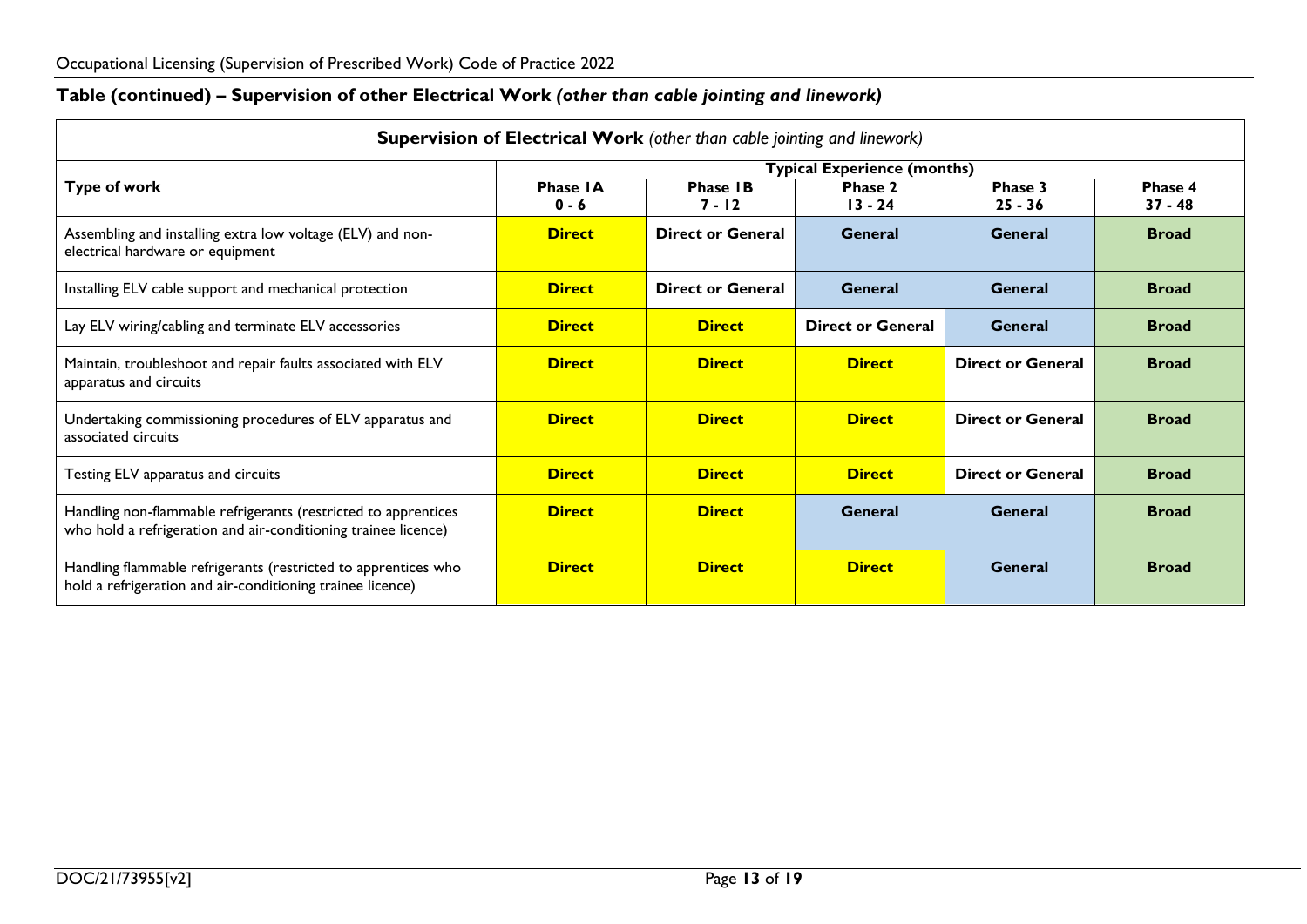# **Table (continued) – Supervision of other Electrical Work** *(other than cable jointing and linework)*

<span id="page-12-0"></span>

| Supervision of Electrical Work (other than cable jointing and linework)                                                          |                                                                     |                          |                                    |                          |              |  |
|----------------------------------------------------------------------------------------------------------------------------------|---------------------------------------------------------------------|--------------------------|------------------------------------|--------------------------|--------------|--|
|                                                                                                                                  |                                                                     |                          | <b>Typical Experience (months)</b> |                          |              |  |
| <b>Type of work</b>                                                                                                              | <b>Phase IA</b><br><b>Phase IB</b><br>Phase 2<br>Phase 3<br>Phase 4 |                          |                                    |                          |              |  |
|                                                                                                                                  | $0 - 6$                                                             | 7 - 12                   | $13 - 24$                          | $25 - 36$                | $37 - 48$    |  |
| Assembling and installing extra low voltage (ELV) and non-<br>electrical hardware or equipment                                   | <b>Direct</b>                                                       | <b>Direct or General</b> | General                            | <b>General</b>           | <b>Broad</b> |  |
| Installing ELV cable support and mechanical protection                                                                           | <b>Direct</b>                                                       | <b>Direct or General</b> | <b>General</b>                     | General                  | <b>Broad</b> |  |
| Lay ELV wiring/cabling and terminate ELV accessories                                                                             | <b>Direct</b>                                                       | <b>Direct</b>            | <b>Direct or General</b>           | <b>General</b>           | <b>Broad</b> |  |
| Maintain, troubleshoot and repair faults associated with ELV<br>apparatus and circuits                                           | <b>Direct</b>                                                       | <b>Direct</b>            | <b>Direct</b>                      | <b>Direct or General</b> | <b>Broad</b> |  |
| Undertaking commissioning procedures of ELV apparatus and<br>associated circuits                                                 | <b>Direct</b>                                                       | <b>Direct</b>            | <b>Direct</b>                      | <b>Direct or General</b> | <b>Broad</b> |  |
| Testing ELV apparatus and circuits                                                                                               | <b>Direct</b>                                                       | <b>Direct</b>            | <b>Direct</b>                      | <b>Direct or General</b> | <b>Broad</b> |  |
| Handling non-flammable refrigerants (restricted to apprentices<br>who hold a refrigeration and air-conditioning trainee licence) | <b>Direct</b>                                                       | <b>Direct</b>            | <b>General</b>                     | General                  | <b>Broad</b> |  |
| Handling flammable refrigerants (restricted to apprentices who<br>hold a refrigeration and air-conditioning trainee licence)     | <b>Direct</b>                                                       | <b>Direct</b>            | <b>Direct</b>                      | General                  | <b>Broad</b> |  |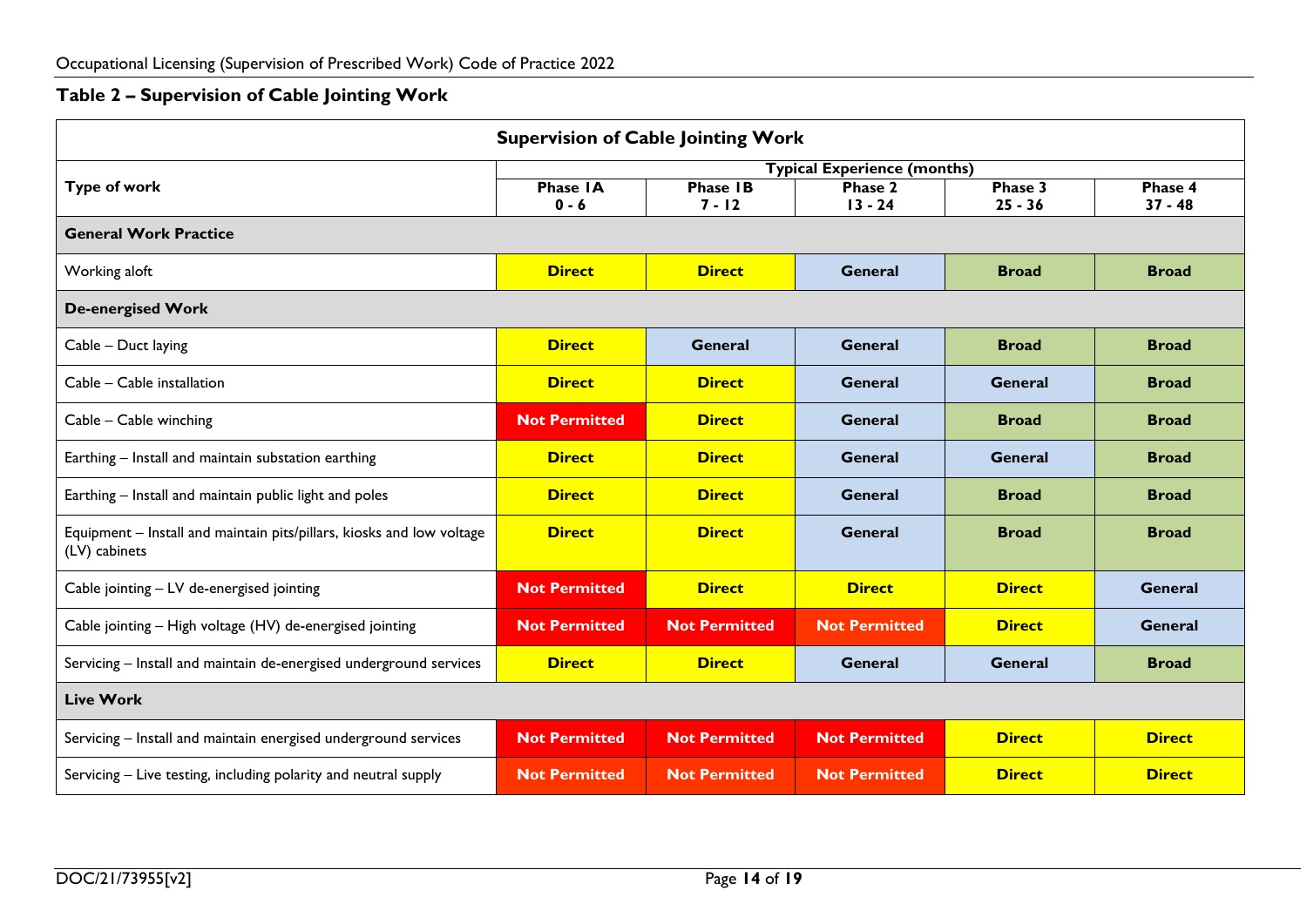# **Table 2 – Supervision of Cable Jointing Work**

<span id="page-13-0"></span>

| <b>Supervision of Cable Jointing Work</b>                                              |                      |                      |                                    |                |                |  |  |  |
|----------------------------------------------------------------------------------------|----------------------|----------------------|------------------------------------|----------------|----------------|--|--|--|
|                                                                                        |                      |                      | <b>Typical Experience (months)</b> |                |                |  |  |  |
| <b>Type of work</b>                                                                    | <b>Phase IA</b>      | <b>Phase IB</b>      | <b>Phase 2</b>                     | Phase 3        | Phase 4        |  |  |  |
|                                                                                        | $0 - 6$              | $7 - 12$             | $13 - 24$                          | $25 - 36$      | $37 - 48$      |  |  |  |
| <b>General Work Practice</b>                                                           |                      |                      |                                    |                |                |  |  |  |
| Working aloft                                                                          | <b>Direct</b>        | <b>Direct</b>        | <b>General</b>                     | <b>Broad</b>   | <b>Broad</b>   |  |  |  |
| <b>De-energised Work</b>                                                               |                      |                      |                                    |                |                |  |  |  |
| Cable - Duct laying                                                                    | <b>Direct</b>        | <b>General</b>       | <b>General</b>                     | <b>Broad</b>   | <b>Broad</b>   |  |  |  |
| Cable - Cable installation                                                             | <b>Direct</b>        | <b>Direct</b>        | General                            | General        | <b>Broad</b>   |  |  |  |
| Cable - Cable winching                                                                 | <b>Not Permitted</b> | <b>Direct</b>        | <b>General</b>                     | <b>Broad</b>   | <b>Broad</b>   |  |  |  |
| Earthing - Install and maintain substation earthing                                    | <b>Direct</b>        | <b>Direct</b>        | <b>General</b>                     | General        | <b>Broad</b>   |  |  |  |
| Earthing - Install and maintain public light and poles                                 | <b>Direct</b>        | <b>Direct</b>        | <b>General</b>                     | <b>Broad</b>   | <b>Broad</b>   |  |  |  |
| Equipment - Install and maintain pits/pillars, kiosks and low voltage<br>(LV) cabinets | <b>Direct</b>        | <b>Direct</b>        | <b>General</b>                     | <b>Broad</b>   | <b>Broad</b>   |  |  |  |
| Cable jointing - LV de-energised jointing                                              | <b>Not Permitted</b> | <b>Direct</b>        | <b>Direct</b>                      | <b>Direct</b>  | General        |  |  |  |
| Cable jointing - High voltage (HV) de-energised jointing                               | <b>Not Permitted</b> | <b>Not Permitted</b> | <b>Not Permitted</b>               | <b>Direct</b>  | <b>General</b> |  |  |  |
| Servicing - Install and maintain de-energised underground services                     | <b>Direct</b>        | <b>Direct</b>        | General                            | <b>General</b> | <b>Broad</b>   |  |  |  |
| <b>Live Work</b>                                                                       |                      |                      |                                    |                |                |  |  |  |
| Servicing - Install and maintain energised underground services                        | <b>Not Permitted</b> | <b>Not Permitted</b> | <b>Not Permitted</b>               | <b>Direct</b>  | <b>Direct</b>  |  |  |  |
| Servicing - Live testing, including polarity and neutral supply                        | <b>Not Permitted</b> | <b>Not Permitted</b> | <b>Not Permitted</b>               | <b>Direct</b>  | <b>Direct</b>  |  |  |  |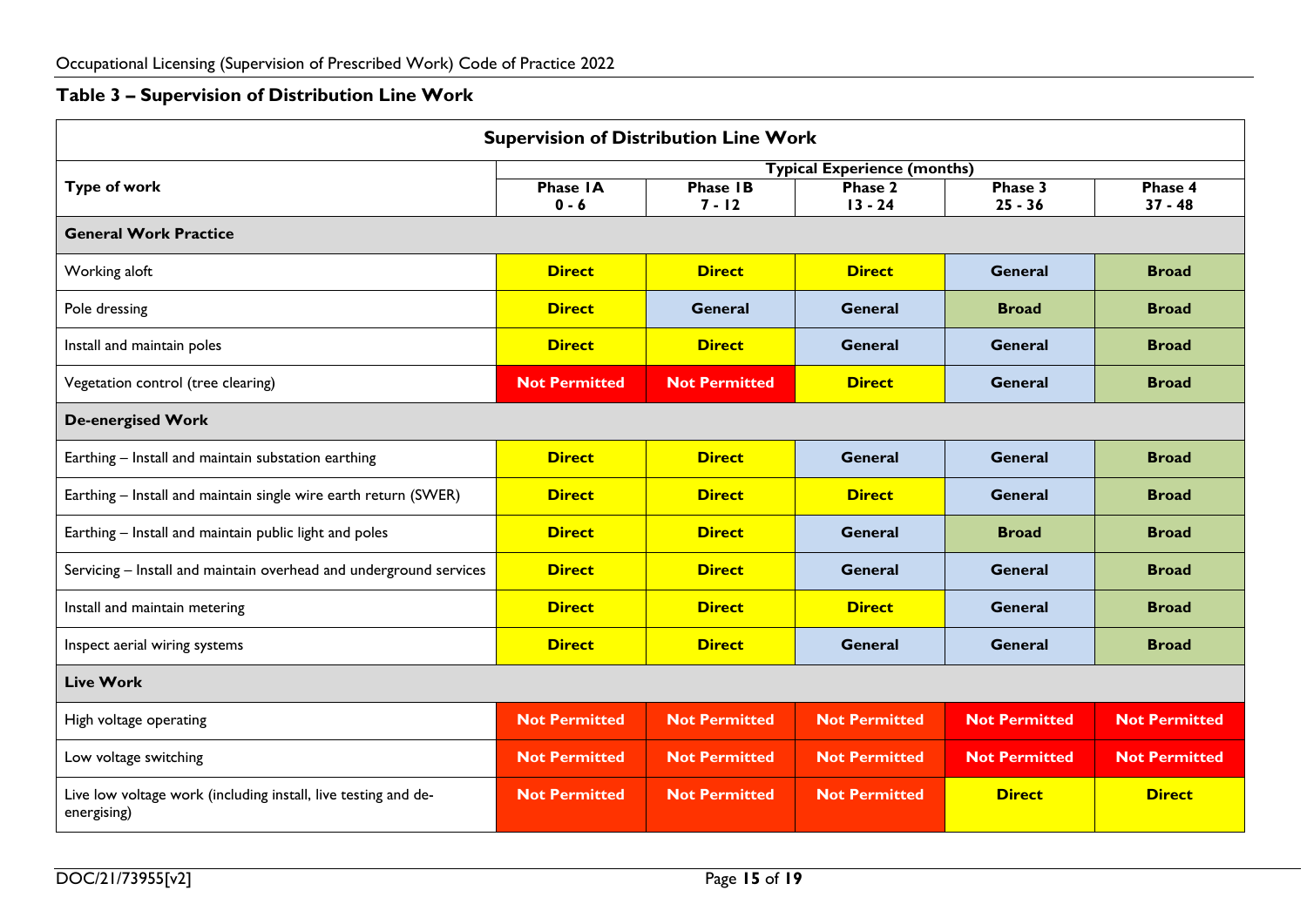# **Table 3 – Supervision of Distribution Line Work**

<span id="page-14-0"></span>

| <b>Supervision of Distribution Line Work</b>                                  |                      |                      |                                    |                      |                      |  |  |
|-------------------------------------------------------------------------------|----------------------|----------------------|------------------------------------|----------------------|----------------------|--|--|
|                                                                               |                      |                      | <b>Typical Experience (months)</b> |                      |                      |  |  |
| <b>Type of work</b>                                                           | <b>Phase IA</b>      | <b>Phase IB</b>      | <b>Phase 2</b>                     | Phase 3              | Phase 4              |  |  |
|                                                                               | $0 - 6$              | $7 - 12$             | $13 - 24$                          | $25 - 36$            | $37 - 48$            |  |  |
| <b>General Work Practice</b>                                                  |                      |                      |                                    |                      |                      |  |  |
| Working aloft                                                                 | <b>Direct</b>        | <b>Direct</b>        | <b>Direct</b>                      | <b>General</b>       | <b>Broad</b>         |  |  |
| Pole dressing                                                                 | <b>Direct</b>        | General              | <b>General</b>                     | <b>Broad</b>         | <b>Broad</b>         |  |  |
| Install and maintain poles                                                    | <b>Direct</b>        | <b>Direct</b>        | General                            | General              | <b>Broad</b>         |  |  |
| Vegetation control (tree clearing)                                            | <b>Not Permitted</b> | <b>Not Permitted</b> | <b>Direct</b>                      | <b>General</b>       | <b>Broad</b>         |  |  |
| <b>De-energised Work</b>                                                      |                      |                      |                                    |                      |                      |  |  |
| Earthing - Install and maintain substation earthing                           | <b>Direct</b>        | <b>Direct</b>        | <b>General</b>                     | <b>General</b>       | <b>Broad</b>         |  |  |
| Earthing - Install and maintain single wire earth return (SWER)               | <b>Direct</b>        | <b>Direct</b>        | <b>Direct</b>                      | <b>General</b>       | <b>Broad</b>         |  |  |
| Earthing - Install and maintain public light and poles                        | <b>Direct</b>        | <b>Direct</b>        | General                            | <b>Broad</b>         | <b>Broad</b>         |  |  |
| Servicing - Install and maintain overhead and underground services            | <b>Direct</b>        | <b>Direct</b>        | General                            | General              | <b>Broad</b>         |  |  |
| Install and maintain metering                                                 | <b>Direct</b>        | <b>Direct</b>        | <b>Direct</b>                      | <b>General</b>       | <b>Broad</b>         |  |  |
| Inspect aerial wiring systems                                                 | <b>Direct</b>        | <b>Direct</b>        | General                            | General              | <b>Broad</b>         |  |  |
| <b>Live Work</b>                                                              |                      |                      |                                    |                      |                      |  |  |
| High voltage operating                                                        | <b>Not Permitted</b> | <b>Not Permitted</b> | <b>Not Permitted</b>               | <b>Not Permitted</b> | <b>Not Permitted</b> |  |  |
| Low voltage switching                                                         | <b>Not Permitted</b> | <b>Not Permitted</b> | <b>Not Permitted</b>               | <b>Not Permitted</b> | <b>Not Permitted</b> |  |  |
| Live low voltage work (including install, live testing and de-<br>energising) | <b>Not Permitted</b> | <b>Not Permitted</b> | <b>Not Permitted</b>               | <b>Direct</b>        | <b>Direct</b>        |  |  |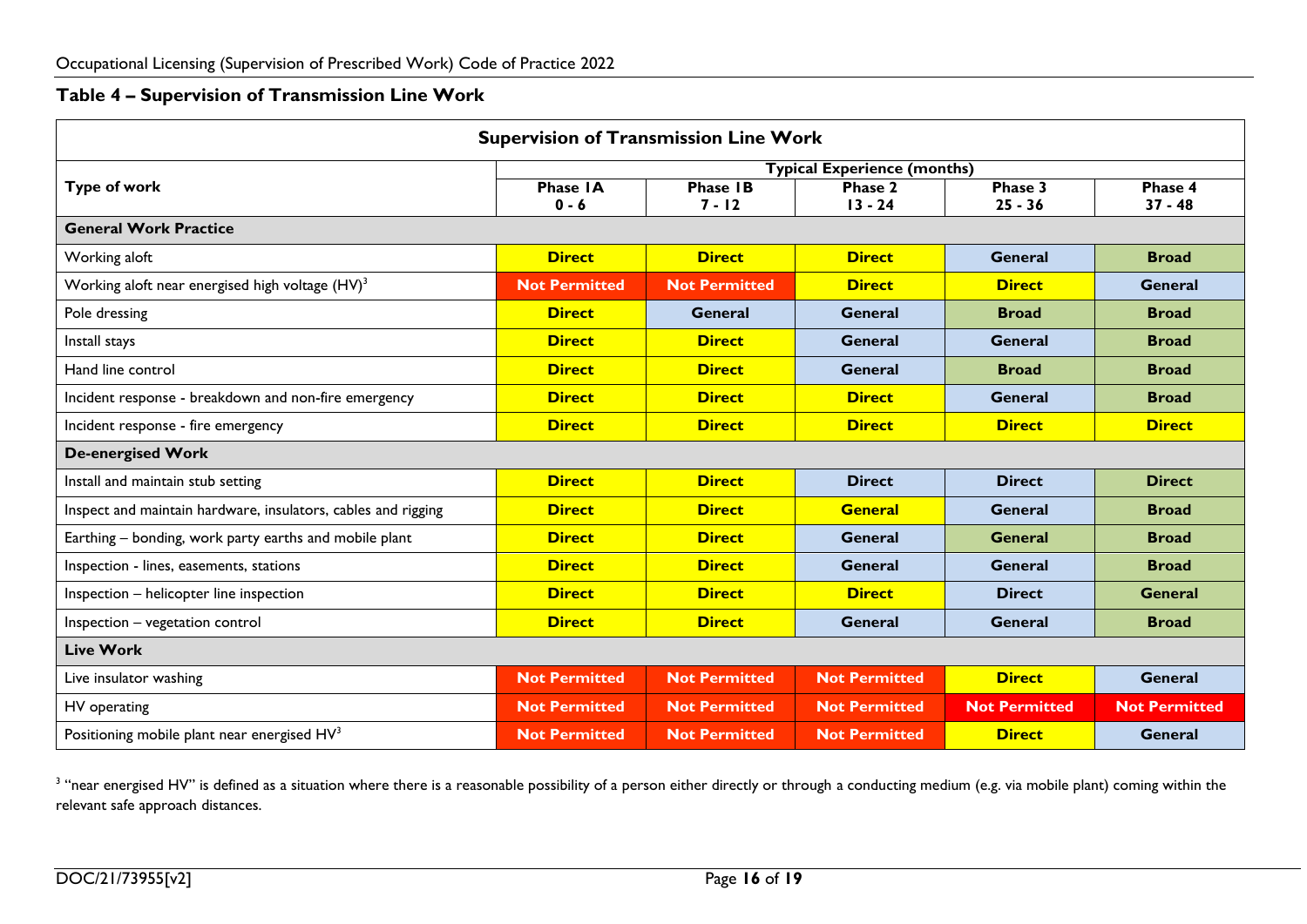#### **Table 4 – Supervision of Transmission Line Work**

| <b>Supervision of Transmission Line Work</b>                  |                            |                             |                                    |                      |                      |  |  |  |
|---------------------------------------------------------------|----------------------------|-----------------------------|------------------------------------|----------------------|----------------------|--|--|--|
|                                                               |                            |                             | <b>Typical Experience (months)</b> |                      |                      |  |  |  |
| <b>Type of work</b>                                           | <b>Phase IA</b><br>$0 - 6$ | <b>Phase IB</b><br>$7 - 12$ | Phase 2<br>$13 - 24$               | Phase 3<br>$25 - 36$ | Phase 4<br>$37 - 48$ |  |  |  |
| <b>General Work Practice</b>                                  |                            |                             |                                    |                      |                      |  |  |  |
| Working aloft                                                 | <b>Direct</b>              | <b>Direct</b>               | <b>Direct</b>                      | <b>General</b>       | <b>Broad</b>         |  |  |  |
| Working aloft near energised high voltage (HV) <sup>3</sup>   | <b>Not Permitted</b>       | <b>Not Permitted</b>        | <b>Direct</b>                      | <b>Direct</b>        | General              |  |  |  |
| Pole dressing                                                 | <b>Direct</b>              | General                     | <b>General</b>                     | <b>Broad</b>         | <b>Broad</b>         |  |  |  |
| Install stays                                                 | <b>Direct</b>              | <b>Direct</b>               | <b>General</b>                     | General              | <b>Broad</b>         |  |  |  |
| Hand line control                                             | <b>Direct</b>              | <b>Direct</b>               | <b>General</b>                     | <b>Broad</b>         | <b>Broad</b>         |  |  |  |
| Incident response - breakdown and non-fire emergency          | <b>Direct</b>              | <b>Direct</b>               | <b>Direct</b>                      | <b>General</b>       | <b>Broad</b>         |  |  |  |
| Incident response - fire emergency                            | <b>Direct</b>              | <b>Direct</b>               | <b>Direct</b>                      | <b>Direct</b>        | <b>Direct</b>        |  |  |  |
| <b>De-energised Work</b>                                      |                            |                             |                                    |                      |                      |  |  |  |
| Install and maintain stub setting                             | <b>Direct</b>              | <b>Direct</b>               | <b>Direct</b>                      | <b>Direct</b>        | <b>Direct</b>        |  |  |  |
| Inspect and maintain hardware, insulators, cables and rigging | <b>Direct</b>              | <b>Direct</b>               | <b>General</b>                     | <b>General</b>       | <b>Broad</b>         |  |  |  |
| Earthing – bonding, work party earths and mobile plant        | <b>Direct</b>              | <b>Direct</b>               | <b>General</b>                     | <b>General</b>       | <b>Broad</b>         |  |  |  |
| Inspection - lines, easements, stations                       | <b>Direct</b>              | <b>Direct</b>               | <b>General</b>                     | <b>General</b>       | <b>Broad</b>         |  |  |  |
| Inspection - helicopter line inspection                       | <b>Direct</b>              | <b>Direct</b>               | <b>Direct</b>                      | <b>Direct</b>        | <b>General</b>       |  |  |  |
| Inspection - vegetation control                               | <b>Direct</b>              | <b>Direct</b>               | <b>General</b>                     | General              | <b>Broad</b>         |  |  |  |
| <b>Live Work</b>                                              |                            |                             |                                    |                      |                      |  |  |  |
| Live insulator washing                                        | <b>Not Permitted</b>       | <b>Not Permitted</b>        | <b>Not Permitted</b>               | <b>Direct</b>        | <b>General</b>       |  |  |  |
| HV operating                                                  | <b>Not Permitted</b>       | <b>Not Permitted</b>        | <b>Not Permitted</b>               | <b>Not Permitted</b> | <b>Not Permitted</b> |  |  |  |
| Positioning mobile plant near energised HV <sup>3</sup>       | <b>Not Permitted</b>       | <b>Not Permitted</b>        | <b>Not Permitted</b>               | <b>Direct</b>        | <b>General</b>       |  |  |  |

<span id="page-15-0"></span> $^3$  "near energised HV" is defined as a situation where there is a reasonable possibility of a person either directly or through a conducting medium (e.g. via mobile plant) coming within the relevant safe approach distances.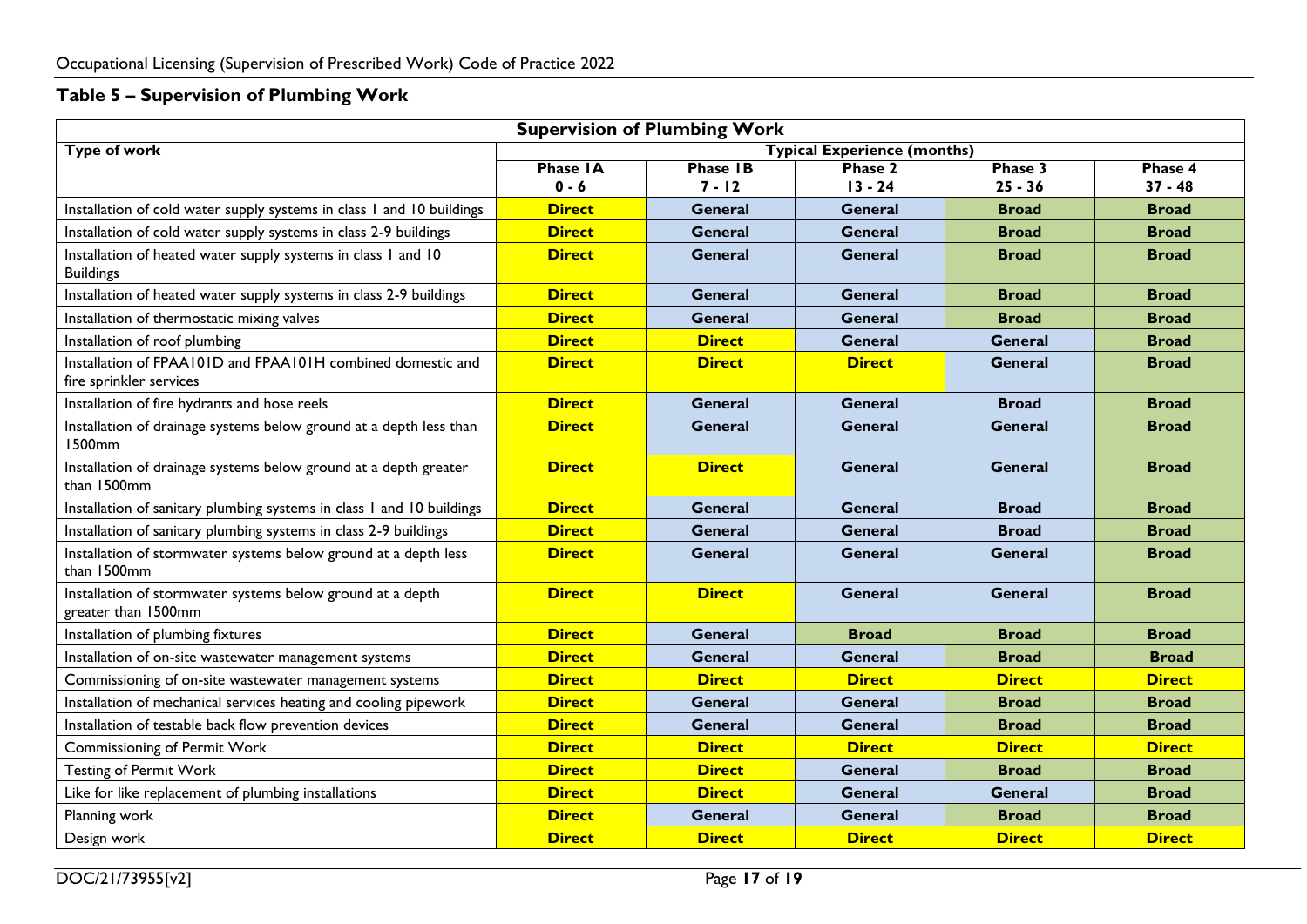# **Table 5 – Supervision of Plumbing Work**

<span id="page-16-0"></span>

| <b>Supervision of Plumbing Work</b>                                                    |                 |                 |                                    |                |               |  |
|----------------------------------------------------------------------------------------|-----------------|-----------------|------------------------------------|----------------|---------------|--|
| <b>Type of work</b>                                                                    |                 |                 | <b>Typical Experience (months)</b> |                |               |  |
|                                                                                        | <b>Phase IA</b> | <b>Phase IB</b> | Phase 2                            | Phase 3        | Phase 4       |  |
|                                                                                        | $0 - 6$         | $7 - 12$        | $13 - 24$                          | $25 - 36$      | $37 - 48$     |  |
| Installation of cold water supply systems in class 1 and 10 buildings                  | <b>Direct</b>   | <b>General</b>  | <b>General</b>                     | <b>Broad</b>   | <b>Broad</b>  |  |
| Installation of cold water supply systems in class 2-9 buildings                       | <b>Direct</b>   | <b>General</b>  | General                            | <b>Broad</b>   | <b>Broad</b>  |  |
| Installation of heated water supply systems in class 1 and 10<br><b>Buildings</b>      | <b>Direct</b>   | General         | <b>General</b>                     | <b>Broad</b>   | <b>Broad</b>  |  |
| Installation of heated water supply systems in class 2-9 buildings                     | <b>Direct</b>   | General         | General                            | <b>Broad</b>   | <b>Broad</b>  |  |
| Installation of thermostatic mixing valves                                             | <b>Direct</b>   | General         | <b>General</b>                     | <b>Broad</b>   | <b>Broad</b>  |  |
| Installation of roof plumbing                                                          | <b>Direct</b>   | <b>Direct</b>   | <b>General</b>                     | General        | <b>Broad</b>  |  |
| Installation of FPAA101D and FPAA101H combined domestic and<br>fire sprinkler services | <b>Direct</b>   | <b>Direct</b>   | <b>Direct</b>                      | <b>General</b> | <b>Broad</b>  |  |
| Installation of fire hydrants and hose reels                                           | <b>Direct</b>   | <b>General</b>  | General                            | <b>Broad</b>   | <b>Broad</b>  |  |
| Installation of drainage systems below ground at a depth less than<br>1500mm           | <b>Direct</b>   | <b>General</b>  | <b>General</b>                     | <b>General</b> | <b>Broad</b>  |  |
| Installation of drainage systems below ground at a depth greater<br>than 1500mm        | <b>Direct</b>   | <b>Direct</b>   | <b>General</b>                     | <b>General</b> | <b>Broad</b>  |  |
| Installation of sanitary plumbing systems in class 1 and 10 buildings                  | <b>Direct</b>   | <b>General</b>  | General                            | <b>Broad</b>   | <b>Broad</b>  |  |
| Installation of sanitary plumbing systems in class 2-9 buildings                       | <b>Direct</b>   | General         | General                            | <b>Broad</b>   | <b>Broad</b>  |  |
| Installation of stormwater systems below ground at a depth less<br>than 1500mm         | <b>Direct</b>   | <b>General</b>  | General                            | General        | <b>Broad</b>  |  |
| Installation of stormwater systems below ground at a depth<br>greater than 1500mm      | <b>Direct</b>   | <b>Direct</b>   | General                            | <b>General</b> | <b>Broad</b>  |  |
| Installation of plumbing fixtures                                                      | <b>Direct</b>   | <b>General</b>  | <b>Broad</b>                       | <b>Broad</b>   | <b>Broad</b>  |  |
| Installation of on-site wastewater management systems                                  | <b>Direct</b>   | <b>General</b>  | General                            | <b>Broad</b>   | <b>Broad</b>  |  |
| Commissioning of on-site wastewater management systems                                 | <b>Direct</b>   | <b>Direct</b>   | <b>Direct</b>                      | <b>Direct</b>  | <b>Direct</b> |  |
| Installation of mechanical services heating and cooling pipework                       | <b>Direct</b>   | <b>General</b>  | General                            | <b>Broad</b>   | <b>Broad</b>  |  |
| Installation of testable back flow prevention devices                                  | <b>Direct</b>   | <b>General</b>  | General                            | <b>Broad</b>   | <b>Broad</b>  |  |
| Commissioning of Permit Work                                                           | <b>Direct</b>   | <b>Direct</b>   | <b>Direct</b>                      | <b>Direct</b>  | <b>Direct</b> |  |
| <b>Testing of Permit Work</b>                                                          | <b>Direct</b>   | <b>Direct</b>   | <b>General</b>                     | <b>Broad</b>   | <b>Broad</b>  |  |
| Like for like replacement of plumbing installations                                    | <b>Direct</b>   | <b>Direct</b>   | <b>General</b>                     | General        | <b>Broad</b>  |  |
| Planning work                                                                          | <b>Direct</b>   | <b>General</b>  | <b>General</b>                     | <b>Broad</b>   | <b>Broad</b>  |  |
| Design work                                                                            | <b>Direct</b>   | <b>Direct</b>   | <b>Direct</b>                      | <b>Direct</b>  | <b>Direct</b> |  |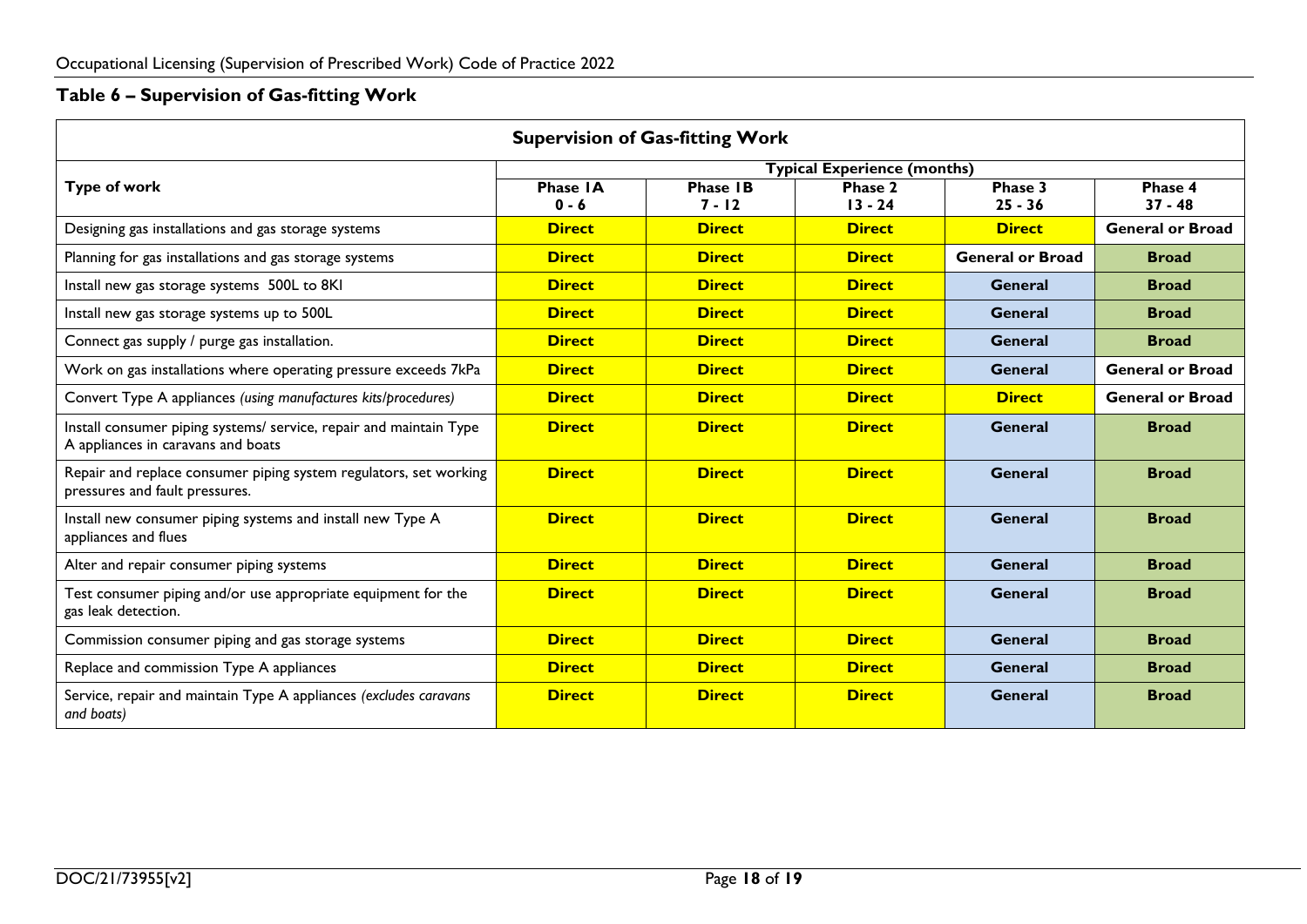# **Table 6 – Supervision of Gas-fitting Work**

<span id="page-17-0"></span>

| <b>Supervision of Gas-fitting Work</b>                                                                   |                     |                             |                                    |                         |                         |
|----------------------------------------------------------------------------------------------------------|---------------------|-----------------------------|------------------------------------|-------------------------|-------------------------|
|                                                                                                          |                     |                             | <b>Typical Experience (months)</b> |                         |                         |
| <b>Type of work</b>                                                                                      | Phase IA<br>$0 - 6$ | <b>Phase IB</b><br>$7 - 12$ | Phase 2<br>$13 - 24$               | Phase 3<br>$25 - 36$    | Phase 4<br>$37 - 48$    |
| Designing gas installations and gas storage systems                                                      | <b>Direct</b>       | <b>Direct</b>               | <b>Direct</b>                      | <b>Direct</b>           | <b>General or Broad</b> |
| Planning for gas installations and gas storage systems                                                   | <b>Direct</b>       | <b>Direct</b>               | <b>Direct</b>                      | <b>General or Broad</b> | <b>Broad</b>            |
| Install new gas storage systems 500L to 8KI                                                              | <b>Direct</b>       | <b>Direct</b>               | <b>Direct</b>                      | <b>General</b>          | <b>Broad</b>            |
| Install new gas storage systems up to 500L                                                               | <b>Direct</b>       | <b>Direct</b>               | <b>Direct</b>                      | <b>General</b>          | <b>Broad</b>            |
| Connect gas supply / purge gas installation.                                                             | <b>Direct</b>       | <b>Direct</b>               | <b>Direct</b>                      | <b>General</b>          | <b>Broad</b>            |
| Work on gas installations where operating pressure exceeds 7kPa                                          | <b>Direct</b>       | <b>Direct</b>               | <b>Direct</b>                      | <b>General</b>          | <b>General or Broad</b> |
| Convert Type A appliances (using manufactures kits/procedures)                                           | <b>Direct</b>       | <b>Direct</b>               | <b>Direct</b>                      | <b>Direct</b>           | <b>General or Broad</b> |
| Install consumer piping systems/ service, repair and maintain Type<br>A appliances in caravans and boats | <b>Direct</b>       | <b>Direct</b>               | <b>Direct</b>                      | <b>General</b>          | <b>Broad</b>            |
| Repair and replace consumer piping system regulators, set working<br>pressures and fault pressures.      | <b>Direct</b>       | <b>Direct</b>               | <b>Direct</b>                      | <b>General</b>          | <b>Broad</b>            |
| Install new consumer piping systems and install new Type A<br>appliances and flues                       | <b>Direct</b>       | <b>Direct</b>               | <b>Direct</b>                      | General                 | <b>Broad</b>            |
| Alter and repair consumer piping systems                                                                 | <b>Direct</b>       | <b>Direct</b>               | <b>Direct</b>                      | <b>General</b>          | <b>Broad</b>            |
| Test consumer piping and/or use appropriate equipment for the<br>gas leak detection.                     | <b>Direct</b>       | <b>Direct</b>               | <b>Direct</b>                      | <b>General</b>          | <b>Broad</b>            |
| Commission consumer piping and gas storage systems                                                       | <b>Direct</b>       | <b>Direct</b>               | <b>Direct</b>                      | <b>General</b>          | <b>Broad</b>            |
| Replace and commission Type A appliances                                                                 | <b>Direct</b>       | <b>Direct</b>               | <b>Direct</b>                      | <b>General</b>          | <b>Broad</b>            |
| Service, repair and maintain Type A appliances (excludes caravans<br>and boats)                          | <b>Direct</b>       | <b>Direct</b>               | <b>Direct</b>                      | <b>General</b>          | <b>Broad</b>            |